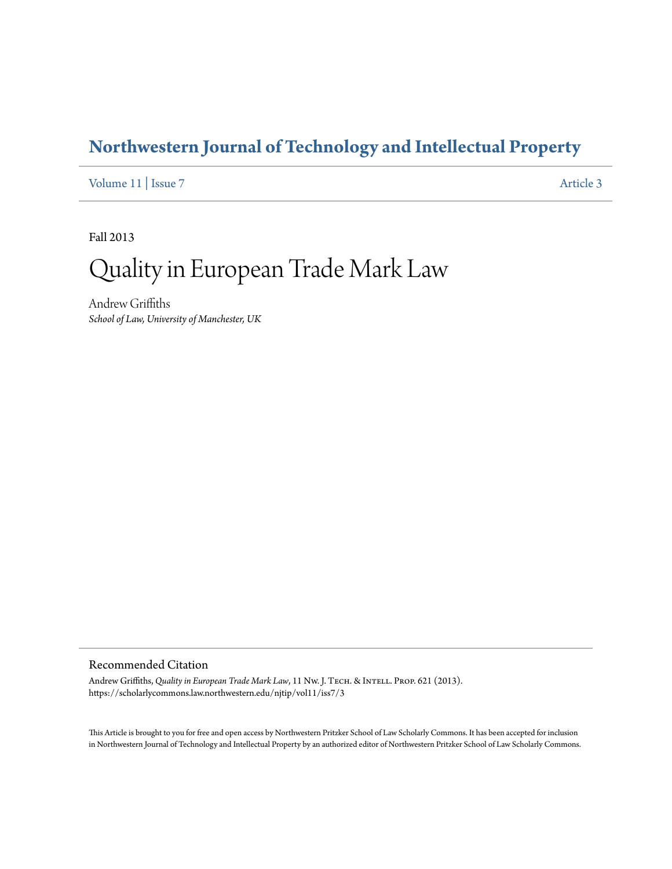### **[Northwestern Journal of Technology and Intellectual Property](https://scholarlycommons.law.northwestern.edu/njtip)**

[Volume 11](https://scholarlycommons.law.northwestern.edu/njtip/vol11) | [Issue 7](https://scholarlycommons.law.northwestern.edu/njtip/vol11/iss7) [Article 3](https://scholarlycommons.law.northwestern.edu/njtip/vol11/iss7/3)

Fall 2013

# Quality in European Trade Mark Law

Andrew Griffiths *School of Law, University of Manchester, UK*

### Recommended Citation

Andrew Griffiths, *Quality in European Trade Mark Law*, 11 Nw. J. TECH. & INTELL. PROP. 621 (2013). https://scholarlycommons.law.northwestern.edu/njtip/vol11/iss7/3

This Article is brought to you for free and open access by Northwestern Pritzker School of Law Scholarly Commons. It has been accepted for inclusion in Northwestern Journal of Technology and Intellectual Property by an authorized editor of Northwestern Pritzker School of Law Scholarly Commons.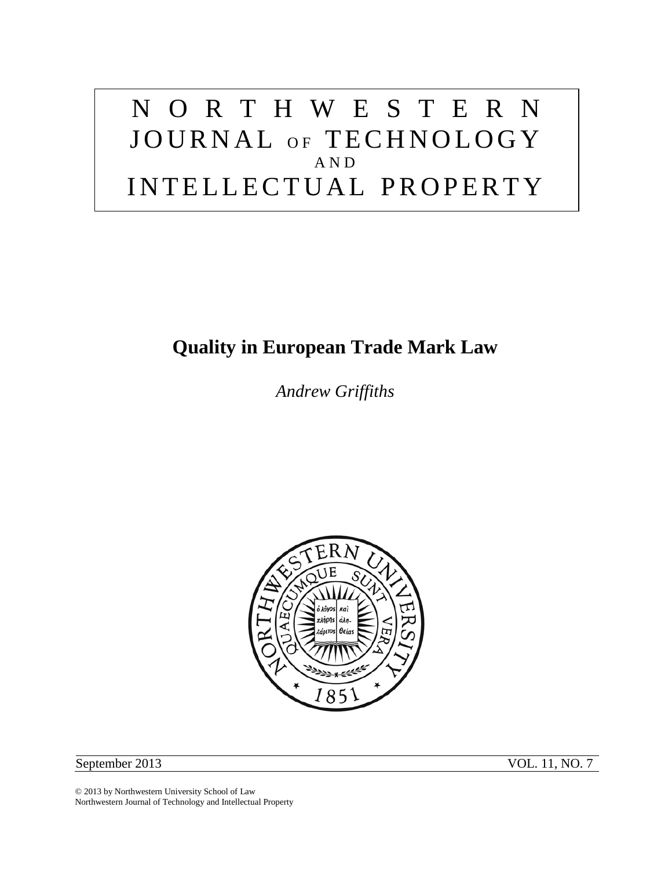# NORTHWESTERN JOURNAL OF TECHNOLOGY AND INTELLECTUAL PROPERTY

## **Quality in European Trade Mark Law**

*Andrew Griffiths*



September 2013 VOL. 11, NO. 7

© 2013 by Northwestern University School of Law Northwestern Journal of Technology and Intellectual Property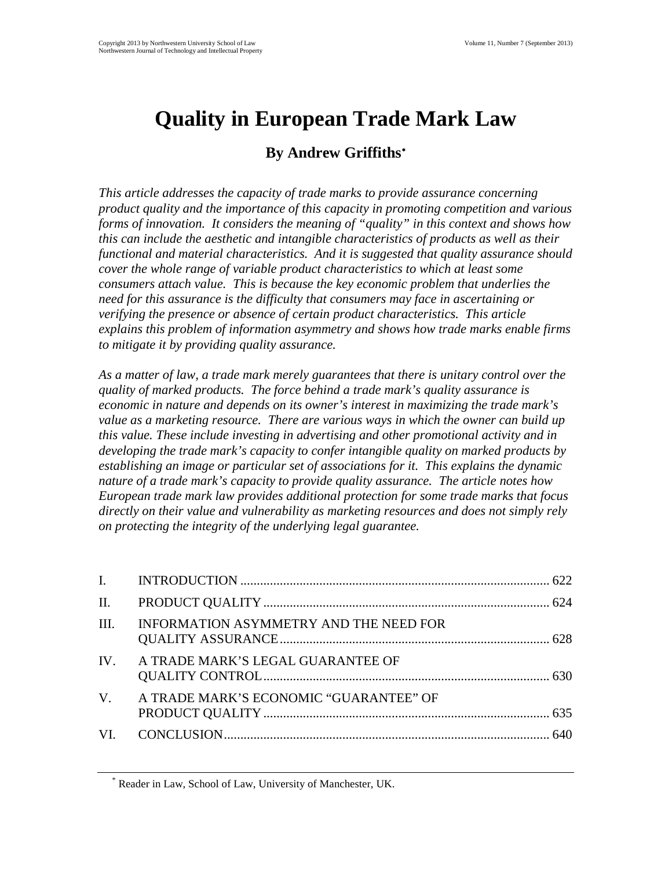# **Quality in European Trade Mark Law**

### **By Andrew Griffiths**[∗](#page-2-0)

*This article addresses the capacity of trade marks to provide assurance concerning product quality and the importance of this capacity in promoting competition and various forms of innovation. It considers the meaning of "quality" in this context and shows how this can include the aesthetic and intangible characteristics of products as well as their functional and material characteristics. And it is suggested that quality assurance should cover the whole range of variable product characteristics to which at least some consumers attach value. This is because the key economic problem that underlies the need for this assurance is the difficulty that consumers may face in ascertaining or verifying the presence or absence of certain product characteristics. This article explains this problem of information asymmetry and shows how trade marks enable firms to mitigate it by providing quality assurance.*

*As a matter of law, a trade mark merely guarantees that there is unitary control over the quality of marked products. The force behind a trade mark's quality assurance is economic in nature and depends on its owner's interest in maximizing the trade mark's value as a marketing resource. There are various ways in which the owner can build up this value. These include investing in advertising and other promotional activity and in developing the trade mark's capacity to confer intangible quality on marked products by establishing an image or particular set of associations for it. This explains the dynamic nature of a trade mark's capacity to provide quality assurance. The article notes how European trade mark law provides additional protection for some trade marks that focus directly on their value and vulnerability as marketing resources and does not simply rely on protecting the integrity of the underlying legal guarantee.*

| III. | INFORMATION ASYMMETRY AND THE NEED FOR    |  |
|------|-------------------------------------------|--|
|      | IV. A TRADE MARK'S LEGAL GUARANTEE OF     |  |
|      | V. A TRADE MARK'S ECONOMIC "GUARANTEE" OF |  |
|      |                                           |  |

<span id="page-2-0"></span>Reader in Law, School of Law, University of Manchester, UK.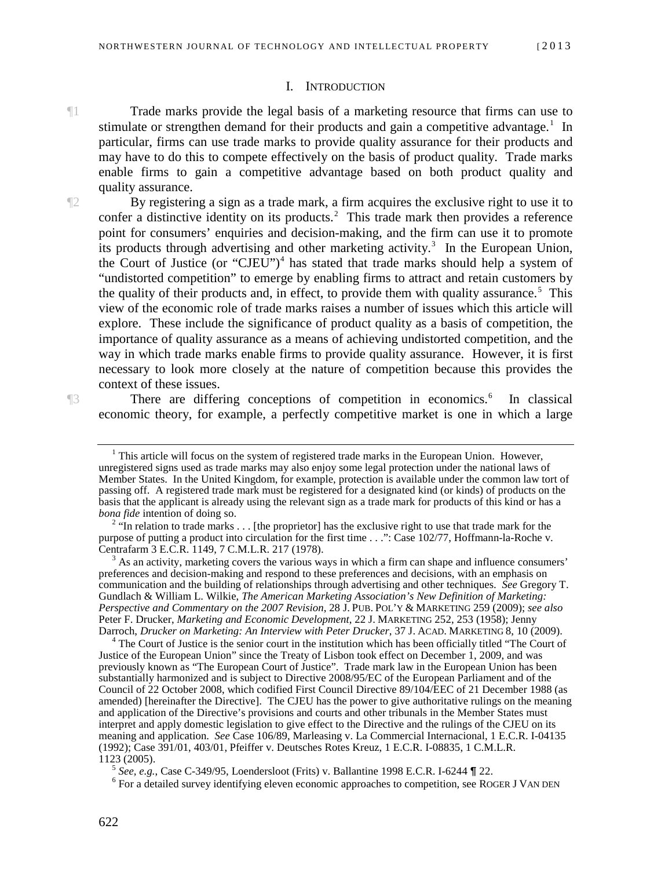#### I. INTRODUCTION

<span id="page-3-0"></span>¶1 Trade marks provide the legal basis of a marketing resource that firms can use to stimulate or strengthen demand for their products and gain a competitive advantage.<sup>[1](#page-3-1)</sup> In particular, firms can use trade marks to provide quality assurance for their products and may have to do this to compete effectively on the basis of product quality. Trade marks enable firms to gain a competitive advantage based on both product quality and quality assurance.

¶2 By registering a sign as a trade mark, a firm acquires the exclusive right to use it to confer a distinctive identity on its products.<sup>[2](#page-3-2)</sup> This trade mark then provides a reference point for consumers' enquiries and decision-making, and the firm can use it to promote its products through advertising and other marketing activity.<sup>[3](#page-3-3)</sup> In the European Union, the Court of Justice (or "CJEU")<sup>[4](#page-3-4)</sup> has stated that trade marks should help a system of "undistorted competition" to emerge by enabling firms to attract and retain customers by the quality of their products and, in effect, to provide them with quality assurance.<sup>[5](#page-3-5)</sup> This view of the economic role of trade marks raises a number of issues which this article will explore. These include the significance of product quality as a basis of competition, the importance of quality assurance as a means of achieving undistorted competition, and the way in which trade marks enable firms to provide quality assurance. However, it is first necessary to look more closely at the nature of competition because this provides the context of these issues.

<span id="page-3-1"></span>

There are differing conceptions of competition in economics.<sup>[6](#page-3-6)</sup> In classical economic theory, for example, a perfectly competitive market is one in which a large

<span id="page-3-3"></span><sup>3</sup> As an activity, marketing covers the various ways in which a firm can shape and influence consumers' preferences and decision-making and respond to these preferences and decisions, with an emphasis on communication and the building of relationships through advertising and other techniques. *See* Gregory T. Gundlach & William L. Wilkie, *The American Marketing Association's New Definition of Marketing: Perspective and Commentary on the 2007 Revision*, 28 J. PUB. POL'Y & MARKETING 259 (2009); *see also* Peter F. Drucker, *Marketing and Economic Development*, 22 J. MARKETING 252, 253 (1958); Jenny

<span id="page-3-4"></span>Darroch, *Drucker on Marketing: An Interview with Peter Drucker*, 37 J. ACAD. MARKETING 8, 10 (2009).<br><sup>4</sup> The Court of Justice is the senior court in the institution which has been officially titled "The Court of Justice of the European Union" since the Treaty of Lisbon took effect on December 1, 2009, and was previously known as "The European Court of Justice". Trade mark law in the European Union has been substantially harmonized and is subject to Directive 2008/95/EC of the European Parliament and of the Council of 22 October 2008, which codified First Council Directive 89/104/EEC of 21 December 1988 (as amended) [hereinafter the Directive]. The CJEU has the power to give authoritative rulings on the meaning and application of the Directive's provisions and courts and other tribunals in the Member States must interpret and apply domestic legislation to give effect to the Directive and the rulings of the CJEU on its meaning and application. *See* Case 106/89, Marleasing v. La Commercial Internacional, 1 E.C.R. I-04135 (1992); Case 391/01, 403/01, Pfeiffer v. Deutsches Rotes Kreuz, 1 E.C.R. I-08835, 1 C.M.L.R.

<span id="page-3-6"></span><span id="page-3-5"></span><sup>5</sup> *See, e.g.*, Case C-349/95, Loendersloot (Frits) v. Ballantine 1998 E.C.R. I-6244  $\P$  22. <sup>6</sup> For a detailed survey identifying eleven economic approaches to competition, see ROGER J VAN DEN

 $<sup>1</sup>$  This article will focus on the system of registered trade marks in the European Union. However,</sup> unregistered signs used as trade marks may also enjoy some legal protection under the national laws of Member States. In the United Kingdom, for example, protection is available under the common law tort of passing off. A registered trade mark must be registered for a designated kind (or kinds) of products on the basis that the applicant is already using the relevant sign as a trade mark for products of this kind or has a *bona fide* intention of doing so.

<span id="page-3-2"></span><sup>&</sup>lt;sup>2</sup> "In relation to trade marks . . . [the proprietor] has the exclusive right to use that trade mark for the purpose of putting a product into circulation for the first time . . .": Case 102/77, Hoffmann-la-Roche v. Centrafarm 3 E.C.R. 1149, 7 C.M.L.R. 217 (1978).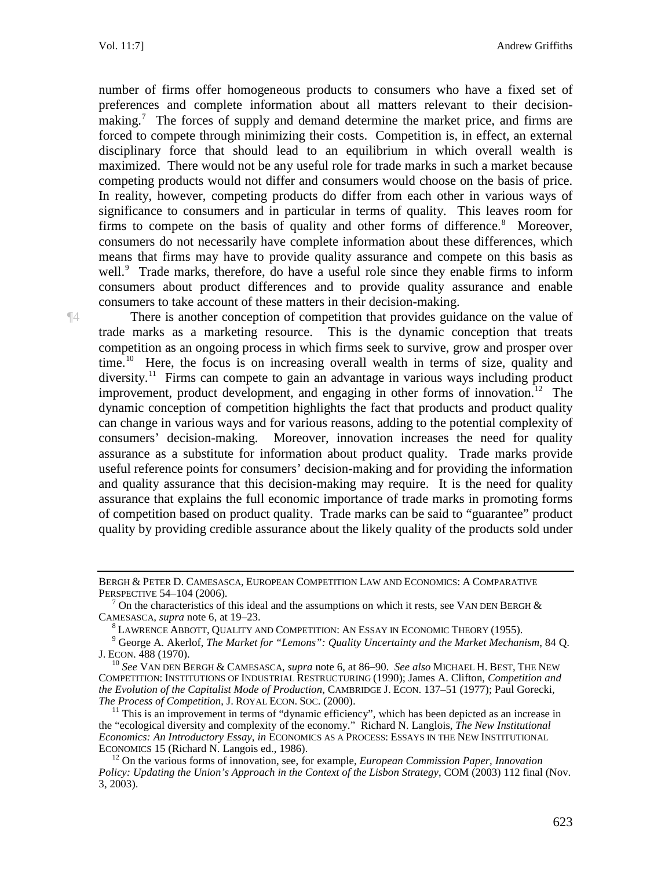Vol. 11:7] Andrew Griffiths

number of firms offer homogeneous products to consumers who have a fixed set of preferences and complete information about all matters relevant to their decision-making.<sup>[7](#page-4-0)</sup> The forces of supply and demand determine the market price, and firms are forced to compete through minimizing their costs. Competition is, in effect, an external disciplinary force that should lead to an equilibrium in which overall wealth is maximized. There would not be any useful role for trade marks in such a market because competing products would not differ and consumers would choose on the basis of price. In reality, however, competing products do differ from each other in various ways of significance to consumers and in particular in terms of quality. This leaves room for firms to compete on the basis of quality and other forms of difference.<sup>[8](#page-4-1)</sup> Moreover, consumers do not necessarily have complete information about these differences, which means that firms may have to provide quality assurance and compete on this basis as well.<sup>[9](#page-4-2)</sup> Trade marks, therefore, do have a useful role since they enable firms to inform consumers about product differences and to provide quality assurance and enable consumers to take account of these matters in their decision-making.

¶4 There is another conception of competition that provides guidance on the value of trade marks as a marketing resource. This is the dynamic conception that treats competition as an ongoing process in which firms seek to survive, grow and prosper over time.<sup>10</sup> Here, the focus is on increasing overall wealth in terms of size, quality and diversity.<sup>[11](#page-4-4)</sup> Firms can compete to gain an advantage in various ways including product improvement, product development, and engaging in other forms of innovation.<sup>[12](#page-4-5)</sup> The dynamic conception of competition highlights the fact that products and product quality can change in various ways and for various reasons, adding to the potential complexity of consumers' decision-making. Moreover, innovation increases the need for quality assurance as a substitute for information about product quality. Trade marks provide useful reference points for consumers' decision-making and for providing the information and quality assurance that this decision-making may require. It is the need for quality assurance that explains the full economic importance of trade marks in promoting forms of competition based on product quality. Trade marks can be said to "guarantee" product quality by providing credible assurance about the likely quality of the products sold under

BERGH & PETER D. CAMESASCA, EUROPEAN COMPETITION LAW AND ECONOMICS: A COMPARATIVE PERSPECTIVE 54–104 (2006).

<span id="page-4-0"></span><sup>&</sup>lt;sup>7</sup> On the characteristics of this ideal and the assumptions on which it rests, see VAN DEN BERGH & CAMESASCA, *supra* note 6, at 19–23.

<span id="page-4-2"></span><span id="page-4-1"></span><sup>&</sup>lt;sup>8</sup> LAWRENCE ABBOTT, QUALITY AND COMPETITION: AN ESSAY IN ECONOMIC THEORY (1955).<br><sup>9</sup> George A. Akerlof, *The Market for "Lemons": Quality Uncertainty and the Market Mechanism*, 84 Q.<br>J. ECON. 488 (1970).

<span id="page-4-3"></span><sup>&</sup>lt;sup>10</sup> See VAN DEN BERGH & CAMESASCA, *supra* note 6, at 86–90. *See also* MICHAEL H. BEST, THE NEW COMPETITION: INSTITUTIONS OF INDUSTRIAL RESTRUCTURING (1990); James A. Clifton, *Competition and the Evolution of the Capitalist Mode of Production*, CAMBRIDGE J. ECON. 137–51 (1977); Paul Gorecki,

<span id="page-4-4"></span><sup>&</sup>lt;sup>11</sup> This is an improvement in terms of "dynamic efficiency", which has been depicted as an increase in the "ecological diversity and complexity of the economy." Richard N. Langlois, *The New Institutional Economics: An Introductory Essay, in* ECONOMICS AS A PROCESS: ESSAYS IN THE NEW INSTITUTIONAL ECONOMICS 15 (Richard N. Langois ed., 1986).

<span id="page-4-5"></span><sup>&</sup>lt;sup>12</sup> On the various forms of innovation, see, for example, *European Commission Paper, Innovation Policy: Updating the Union's Approach in the Context of the Lisbon Strategy*, COM (2003) 112 final (Nov. 3, 2003).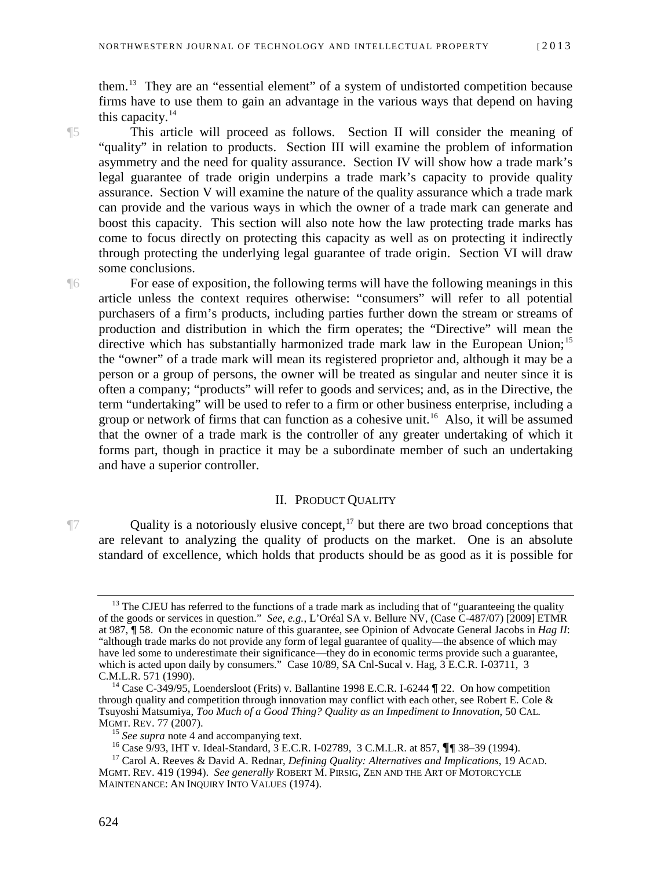them.[13](#page-5-1) They are an "essential element" of a system of undistorted competition because firms have to use them to gain an advantage in the various ways that depend on having this capacity. $14$ 

¶5 This article will proceed as follows. Section II will consider the meaning of "quality" in relation to products. Section III will examine the problem of information asymmetry and the need for quality assurance. Section IV will show how a trade mark's legal guarantee of trade origin underpins a trade mark's capacity to provide quality assurance. Section V will examine the nature of the quality assurance which a trade mark can provide and the various ways in which the owner of a trade mark can generate and boost this capacity. This section will also note how the law protecting trade marks has come to focus directly on protecting this capacity as well as on protecting it indirectly through protecting the underlying legal guarantee of trade origin. Section VI will draw some conclusions.

¶6 For ease of exposition, the following terms will have the following meanings in this article unless the context requires otherwise: "consumers" will refer to all potential purchasers of a firm's products, including parties further down the stream or streams of production and distribution in which the firm operates; the "Directive" will mean the directive which has substantially harmonized trade mark law in the European Union;<sup>[15](#page-5-3)</sup> the "owner" of a trade mark will mean its registered proprietor and, although it may be a person or a group of persons, the owner will be treated as singular and neuter since it is often a company; "products" will refer to goods and services; and, as in the Directive, the term "undertaking" will be used to refer to a firm or other business enterprise, including a group or network of firms that can function as a cohesive unit.<sup>[16](#page-5-4)</sup> Also, it will be assumed that the owner of a trade mark is the controller of any greater undertaking of which it forms part, though in practice it may be a subordinate member of such an undertaking and have a superior controller.

### II. PRODUCT QUALITY

<span id="page-5-0"></span> $\P$ 7 Quality is a notoriously elusive concept,<sup>[17](#page-5-5)</sup> but there are two broad conceptions that are relevant to analyzing the quality of products on the market. One is an absolute standard of excellence, which holds that products should be as good as it is possible for

<span id="page-5-1"></span> $13$  The CJEU has referred to the functions of a trade mark as including that of "guaranteeing the quality of the goods or services in question." *See, e.g.*, L'Oréal SA v. Bellure NV, (Case C-487/07) [2009] ETMR at 987, **¶** 58. On the economic nature of this guarantee, see Opinion of Advocate General Jacobs in *Hag II*: "although trade marks do not provide any form of legal guarantee of quality—the absence of which may have led some to underestimate their significance—they do in economic terms provide such a guarantee, which is acted upon daily by consumers." Case  $10/89$ , SA Cnl-Sucal v. Hag,  $3$  E.C.R. I-03711, 3 C.M.L.R. 571 (1990).

<span id="page-5-2"></span><sup>&</sup>lt;sup>14</sup> Case C-349/95, Loendersloot (Frits) v. Ballantine 1998 E.C.R. I-6244 **¶** 22. On how competition through quality and competition through innovation may conflict with each other, see Robert E. Cole  $\&$ Tsuyoshi Matsumiya, *Too Much of a Good Thing? Quality as an Impediment to Innovation*, 50 CAL.

<span id="page-5-5"></span><span id="page-5-4"></span><span id="page-5-3"></span><sup>&</sup>lt;sup>15</sup> See supra note 4 and accompanying text.<br><sup>16</sup> Case 9/93, IHT v. Ideal-Standard, 3 E.C.R. I-02789, 3 C.M.L.R. at 857,  $\P\P$  38–39 (1994).<br><sup>17</sup> Carol A. Reeves & David A. Rednar, *Defining Quality: Alternatives and Impli* MGMT. REV. 419 (1994). *See generally* ROBERT M. PIRSIG, ZEN AND THE ART OF MOTORCYCLE MAINTENANCE: AN INQUIRY INTO VALUES (1974).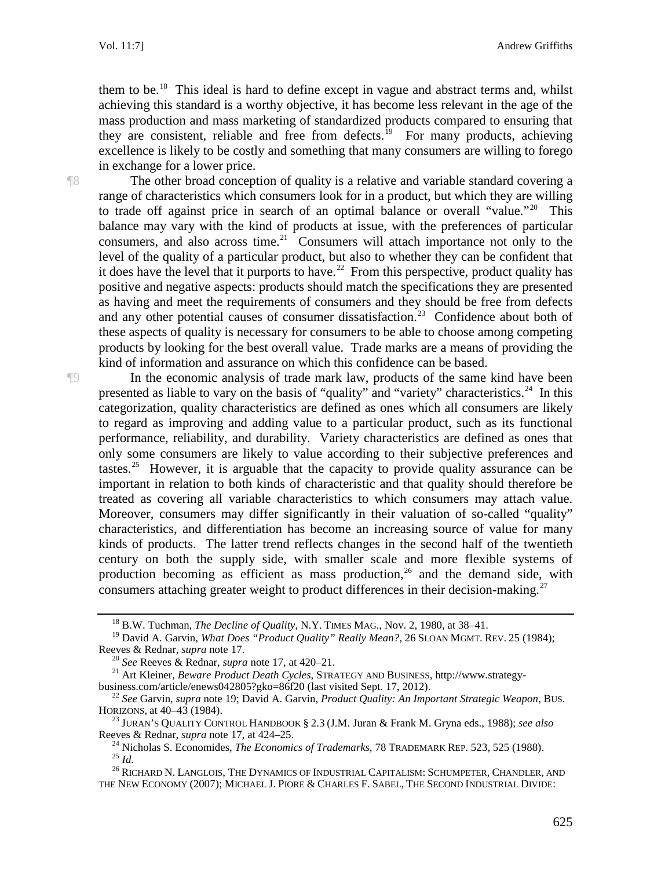them to be.<sup>18</sup> This ideal is hard to define except in vague and abstract terms and, whilst achieving this standard is a worthy objective, it has become less relevant in the age of the mass production and mass marketing of standardized products compared to ensuring that they are consistent, reliable and free from defects.<sup>19</sup> For many products, achieving excellence is likely to be costly and something that many consumers are willing to forego in exchange for a lower price.

¶8 The other broad conception of quality is a relative and variable standard covering a range of characteristics which consumers look for in a product, but which they are willing to trade off against price in search of an optimal balance or overall "value."<sup>20</sup> This balance may vary with the kind of products at issue, with the preferences of particular consumers, and also across time.<sup>[21](#page-6-3)</sup> Consumers will attach importance not only to the level of the quality of a particular product, but also to whether they can be confident that it does have the level that it purports to have.<sup>22</sup> From this perspective, product quality has positive and negative aspects: products should match the specifications they are presented as having and meet the requirements of consumers and they should be free from defects and any other potential causes of consumer dissatisfaction.<sup>23</sup> Confidence about both of these aspects of quality is necessary for consumers to be able to choose among competing products by looking for the best overall value. Trade marks are a means of providing the kind of information and assurance on which this confidence can be based.

¶9 In the economic analysis of trade mark law, products of the same kind have been presented as liable to vary on the basis of "quality" and "variety" characteristics.<sup>[24](#page-6-6)</sup> In this categorization, quality characteristics are defined as ones which all consumers are likely to regard as improving and adding value to a particular product, such as its functional performance, reliability, and durability. Variety characteristics are defined as ones that only some consumers are likely to value according to their subjective preferences and tastes.<sup>[25](#page-6-7)</sup> However, it is arguable that the capacity to provide quality assurance can be important in relation to both kinds of characteristic and that quality should therefore be treated as covering all variable characteristics to which consumers may attach value. Moreover, consumers may differ significantly in their valuation of so-called "quality" characteristics, and differentiation has become an increasing source of value for many kinds of products. The latter trend reflects changes in the second half of the twentieth century on both the supply side, with smaller scale and more flexible systems of production becoming as efficient as mass production,  $26$  and the demand side, with consumers attaching greater weight to product differences in their decision-making.<sup>[27](#page-6-9)</sup>

<span id="page-6-9"></span><sup>18</sup> B.W. Tuchman, *The Decline of Quality*, N.Y. TIMES MAG., Nov. 2, 1980, at 38–41.

<span id="page-6-1"></span><span id="page-6-0"></span><sup>&</sup>lt;sup>19</sup> David A. Garvin, *What Does "Product Quality" Really Mean?*, 26 SLOAN MGMT. REV. 25 (1984);<br>Reeves & Rednar, *supra* note 17.

<span id="page-6-3"></span><span id="page-6-2"></span><sup>&</sup>lt;sup>20</sup> *See* Reeves & Rednar, *supra* note 17, at 420–21.<br><sup>21</sup> Art Kleiner, *Beware Product Death Cycles*, STRATEGY AND BUSINESS, http://www.strategy-<br>business.com/article/enews042805?gko=86f20 (last visited Sept. 17, 2012).

<span id="page-6-4"></span><sup>&</sup>lt;sup>22</sup> See Garvin, *supra* note 19; David A. Garvin, *Product Quality: An Important Strategic Weapon*, BUS. HORIZONS, at 40–43 (1984).

<span id="page-6-6"></span><span id="page-6-5"></span><sup>&</sup>lt;sup>23</sup> JURAN'S QUALITY CONTROL HANDBOOK § 2.3 (J.M. Juran & Frank M. Gryna eds., 1988); *see also* Reeves & Rednar, *supra* note 17, at 424–25.

<sup>&</sup>lt;sup>24</sup> Nicholas S. Economides, *The Economics of Trademarks*, 78 TRADEMARK REP. 523, 525 (1988).<br><sup>25</sup> *Id.*<br><sup>26</sup> RICHARD N. LANGLOIS, THE DYNAMICS OF INDUSTRIAL CAPITALISM: SCHUMPETER, CHANDLER, AND

<span id="page-6-8"></span><span id="page-6-7"></span>THE NEW ECONOMY (2007); MICHAEL J. PIORE & CHARLES F. SABEL, THE SECOND INDUSTRIAL DIVIDE: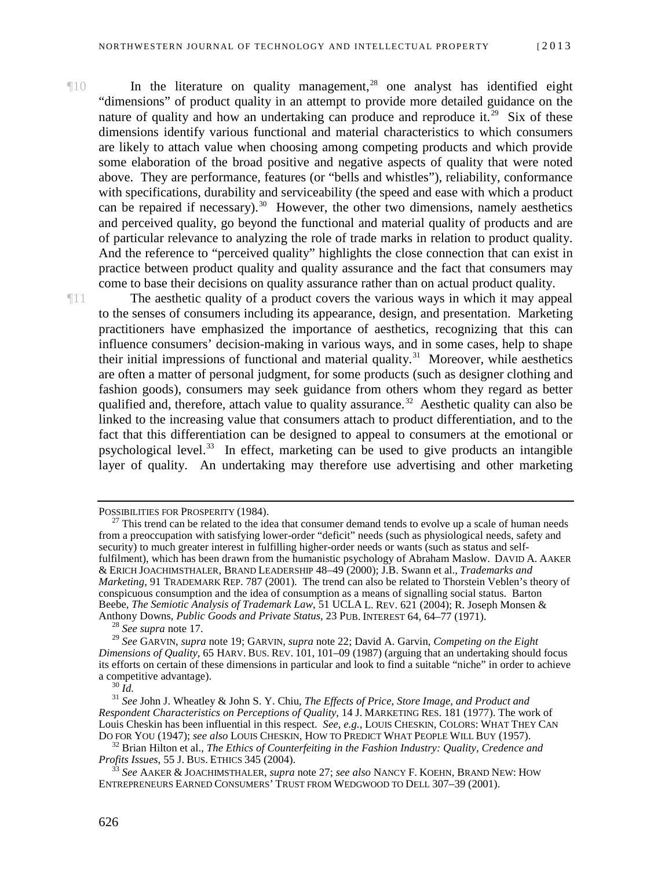¶10 In the literature on quality management,[28](#page-7-0) one analyst has identified eight "dimensions" of product quality in an attempt to provide more detailed guidance on the nature of quality and how an undertaking can produce and reproduce it.<sup>[29](#page-7-1)</sup> Six of these dimensions identify various functional and material characteristics to which consumers are likely to attach value when choosing among competing products and which provide some elaboration of the broad positive and negative aspects of quality that were noted above. They are performance, features (or "bells and whistles"), reliability, conformance with specifications, durability and serviceability (the speed and ease with which a product can be repaired if necessary).<sup>[30](#page-7-2)</sup> However, the other two dimensions, namely aesthetics and perceived quality, go beyond the functional and material quality of products and are of particular relevance to analyzing the role of trade marks in relation to product quality. And the reference to "perceived quality" highlights the close connection that can exist in practice between product quality and quality assurance and the fact that consumers may come to base their decisions on quality assurance rather than on actual product quality.

¶11 The aesthetic quality of a product covers the various ways in which it may appeal to the senses of consumers including its appearance, design, and presentation. Marketing practitioners have emphasized the importance of aesthetics, recognizing that this can influence consumers' decision-making in various ways, and in some cases, help to shape their initial impressions of functional and material quality.<sup>[31](#page-7-3)</sup> Moreover, while aesthetics are often a matter of personal judgment, for some products (such as designer clothing and fashion goods), consumers may seek guidance from others whom they regard as better qualified and, therefore, attach value to quality assurance.<sup>32</sup> Aesthetic quality can also be linked to the increasing value that consumers attach to product differentiation, and to the fact that this differentiation can be designed to appeal to consumers at the emotional or psychological level.<sup>[33](#page-7-5)</sup> In effect, marketing can be used to give products an intangible layer of quality. An undertaking may therefore use advertising and other marketing

POSSIBILITIES FOR PROSPERITY (1984).<br><sup>27</sup> This trend can be related to the idea that consumer demand tends to evolve up a scale of human needs from a preoccupation with satisfying lower-order "deficit" needs (such as physiological needs, safety and security) to much greater interest in fulfilling higher-order needs or wants (such as status and selffulfilment), which has been drawn from the humanistic psychology of Abraham Maslow. DAVID A. AAKER & ERICH JOACHIMSTHALER, BRAND LEADERSHIP 48–49 (2000); J.B. Swann et al., *Trademarks and Marketing*, 91 TRADEMARK REP. 787 (2001). The trend can also be related to Thorstein Veblen's theory of conspicuous consumption and the idea of consumption as a means of signalling social status. Barton Beebe, *The Semiotic Analysis of Trademark Law*, 51 UCLA L. REV. 621 (2004); R. Joseph Monsen & Anthony Downs, *Public Goods and Private Status*, 23 PUB. INTEREST 64, 64–77 (1971).<sup>28</sup> *See supra* note 17.

<span id="page-7-1"></span><span id="page-7-0"></span><sup>29</sup> *See* GARVIN, *supra* note 19; GARVIN, *supra* note 22; David A. Garvin, *Competing on the Eight Dimensions of Quality*, 65 HARV. BUS. REV. 101, 101–09 (1987) (arguing that an undertaking should focus its efforts on certain of these dimensions in particular and look to find a suitable "niche" in order to achieve a competitive advantage).<br> $\frac{30 \text{ Id}}{1}$ 

<span id="page-7-3"></span><span id="page-7-2"></span><sup>&</sup>lt;sup>31</sup> *See* John J. Wheatley & John S. Y. Chiu, *The Effects of Price, Store Image, and Product and Respondent Characteristics on Perceptions of Quality*, 14 J. MARKETING RES. 181 (1977). The work of Louis Cheskin has been influential in this respect. *See, e.g.*, LOUIS CHESKIN, COLORS: WHAT THEY CAN DO FOR YOU (1947); *see also* LOUIS CHESKIN, HOW TO PREDICT WHAT PEOPLE WILL BUY (1957).

<span id="page-7-4"></span><sup>&</sup>lt;sup>32</sup> Brian Hilton et al., *The Ethics of Counterfeiting in the Fashion Industry: Quality, Credence and Profits Issues, 55 J. Bus. ETHICS 345 (2004).* 

<span id="page-7-5"></span>*Profits Issues*, 55 J. BUS. ETHICS 345 (2004). <sup>33</sup> *See* AAKER & JOACHIMSTHALER, *supra* note 27; *see also* NANCY F. KOEHN, BRAND NEW: HOW ENTREPRENEURS EARNED CONSUMERS' TRUST FROM WEDGWOOD TO DELL 307–39 (2001).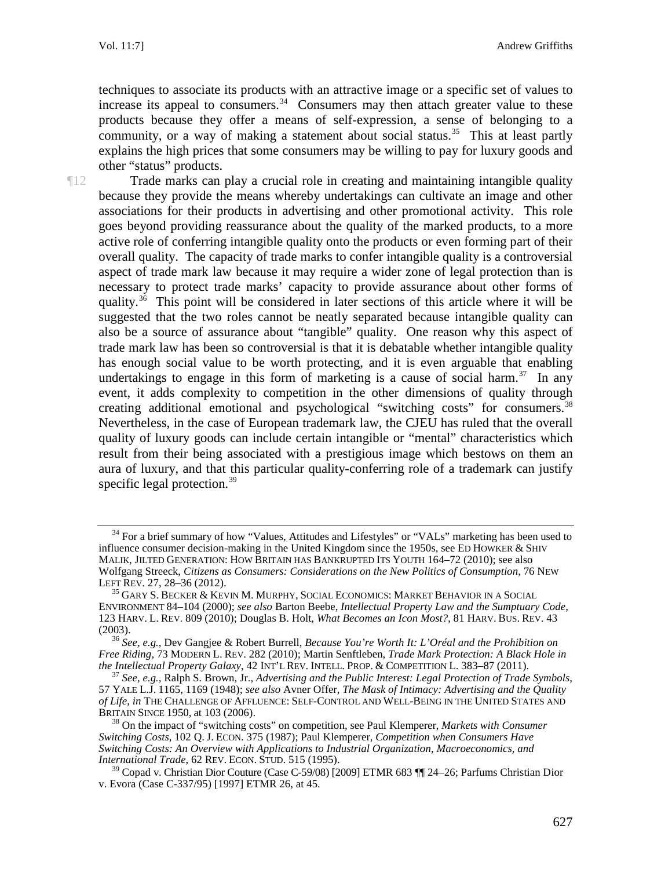techniques to associate its products with an attractive image or a specific set of values to increase its appeal to consumers.<sup>[34](#page-8-0)</sup> Consumers may then attach greater value to these products because they offer a means of self-expression, a sense of belonging to a community, or a way of making a statement about social status.<sup>35</sup> This at least partly explains the high prices that some consumers may be willing to pay for luxury goods and other "status" products.

¶12 Trade marks can play a crucial role in creating and maintaining intangible quality because they provide the means whereby undertakings can cultivate an image and other associations for their products in advertising and other promotional activity. This role goes beyond providing reassurance about the quality of the marked products, to a more active role of conferring intangible quality onto the products or even forming part of their overall quality. The capacity of trade marks to confer intangible quality is a controversial aspect of trade mark law because it may require a wider zone of legal protection than is necessary to protect trade marks' capacity to provide assurance about other forms of quality.<sup>36</sup> This point will be considered in later sections of this article where it will be suggested that the two roles cannot be neatly separated because intangible quality can also be a source of assurance about "tangible" quality. One reason why this aspect of trade mark law has been so controversial is that it is debatable whether intangible quality has enough social value to be worth protecting, and it is even arguable that enabling undertakings to engage in this form of marketing is a cause of social harm.<sup>[37](#page-8-3)</sup> In any event, it adds complexity to competition in the other dimensions of quality through creating additional emotional and psychological "switching costs" for consumers.<sup>[38](#page-8-4)</sup> Nevertheless, in the case of European trademark law, the CJEU has ruled that the overall quality of luxury goods can include certain intangible or "mental" characteristics which result from their being associated with a prestigious image which bestows on them an aura of luxury, and that this particular quality-conferring role of a trademark can justify specific legal protection. $39$ 

<span id="page-8-0"></span><sup>&</sup>lt;sup>34</sup> For a brief summary of how "Values, Attitudes and Lifestyles" or "VALs" marketing has been used to influence consumer decision-making in the United Kingdom since the 1950s, see ED HOWKER & SHIV MALIK, JILTED GENERATION: HOW BRITAIN HAS BANKRUPTED ITS YOUTH 164–72 (2010); see also Wolfgang Streeck, *Citizens as Consumers: Considerations on the New Politics of Consumption*, 76 NEW

<span id="page-8-1"></span> $^{35}$  Gary S. Becker & Kevin M. Murphy, Social Economics: Market Behavior in a Social ENVIRONMENT 84–104 (2000); *see also* Barton Beebe, *Intellectual Property Law and the Sumptuary Code*, 123 HARV. L. REV. 809 (2010); Douglas B. Holt, *What Becomes an Icon Most?*, 81 HARV. BUS. REV. 43

<span id="page-8-2"></span><sup>(2003).</sup> <sup>36</sup> *See, e.g.*, Dev Gangjee & Robert Burrell, *Because You're Worth It: L'Oréal and the Prohibition on Free Riding*, 73 MODERN L. REV. 282 (2010); Martin Senftleben, *Trade Mark Protection: A Black Hole in* 

<span id="page-8-3"></span><sup>&</sup>lt;sup>37</sup> See. e.g., Ralph S. Brown, Jr., *Advertising and the Public Interest: Legal Protection of Trade Symbols*, 57 YALE L.J. 1165, 1169 (1948); *see also* Avner Offer, *The Mask of Intimacy: Advertising and the Quality of Life*, *in* THE CHALLENGE OF AFFLUENCE: SELF-CONTROL AND WELL-BEING IN THE UNITED STATES AND BRITAIN SINCE 1950, at 103 (2006).

<span id="page-8-4"></span><sup>&</sup>lt;sup>38</sup> On the impact of "switching costs" on competition, see Paul Klemperer, *Markets with Consumer Switching Costs*, 102 Q. J. ECON. 375 (1987); Paul Klemperer, *Competition when Consumers Have Switching Costs: An Overview with Applications to Industrial Organization, Macroeconomics, and International Trade*, 62 REV. ECON. STUD. 515 (1995).

<span id="page-8-5"></span> $39$  Copad v. Christian Dior Couture (Case C-59/08) [2009] ETMR 683  $\P$  24–26; Parfums Christian Dior v. Evora (Case C-337/95) [1997] ETMR 26, at 45.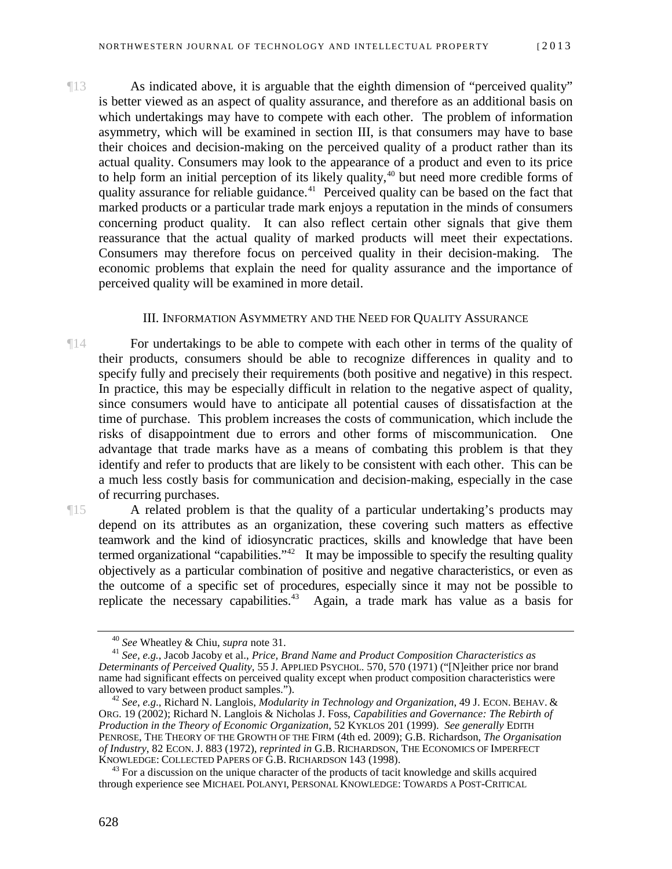¶13 As indicated above, it is arguable that the eighth dimension of "perceived quality" is better viewed as an aspect of quality assurance, and therefore as an additional basis on which undertakings may have to compete with each other. The problem of information asymmetry, which will be examined in section III, is that consumers may have to base their choices and decision-making on the perceived quality of a product rather than its actual quality. Consumers may look to the appearance of a product and even to its price to help form an initial perception of its likely quality, $40$  but need more credible forms of quality assurance for reliable guidance.<sup>41</sup> Perceived quality can be based on the fact that marked products or a particular trade mark enjoys a reputation in the minds of consumers concerning product quality. It can also reflect certain other signals that give them reassurance that the actual quality of marked products will meet their expectations. Consumers may therefore focus on perceived quality in their decision-making. The economic problems that explain the need for quality assurance and the importance of perceived quality will be examined in more detail.

### <span id="page-9-0"></span>III. INFORMATION ASYMMETRY AND THE NEED FOR QUALITY ASSURANCE

¶14 For undertakings to be able to compete with each other in terms of the quality of their products, consumers should be able to recognize differences in quality and to specify fully and precisely their requirements (both positive and negative) in this respect. In practice, this may be especially difficult in relation to the negative aspect of quality, since consumers would have to anticipate all potential causes of dissatisfaction at the time of purchase. This problem increases the costs of communication, which include the risks of disappointment due to errors and other forms of miscommunication. One advantage that trade marks have as a means of combating this problem is that they identify and refer to products that are likely to be consistent with each other. This can be a much less costly basis for communication and decision-making, especially in the case of recurring purchases.

¶15 A related problem is that the quality of a particular undertaking's products may depend on its attributes as an organization, these covering such matters as effective teamwork and the kind of idiosyncratic practices, skills and knowledge that have been termed organizational "capabilities."<sup>42</sup> It may be impossible to specify the resulting quality objectively as a particular combination of positive and negative characteristics, or even as the outcome of a specific set of procedures, especially since it may not be possible to replicate the necessary capabilities.<sup>43</sup> Again, a trade mark has value as a basis for

<span id="page-9-2"></span><span id="page-9-1"></span><sup>40</sup> *See* Wheatley & Chiu, *supra* note 31. 41 *See, e.g.*, Jacob Jacoby et al., *Price, Brand Name and Product Composition Characteristics as Determinants of Perceived Quality*, 55 J. APPLIED PSYCHOL. 570, 570 (1971) ("[N]either price nor brand name had significant effects on perceived quality except when product composition characteristics were allowed to vary between product samples.").

<span id="page-9-3"></span><sup>&</sup>lt;sup>42</sup> See, e.g., Richard N. Langlois, *Modularity in Technology and Organization*, 49 J. ECON. BEHAV. & ORG. 19 (2002); Richard N. Langlois & Nicholas J. Foss, *Capabilities and Governance: The Rebirth of Production in the Theory of Economic Organization*, 52 KYKLOS 201 (1999). *See generally* EDITH PENROSE, THE THEORY OF THE GROWTH OF THE FIRM (4th ed. 2009); G.B. Richardson, *The Organisation of Industry*, 82 ECON. J. 883 (1972), *reprinted in* G.B. RICHARDSON, THE ECONOMICS OF IMPERFECT

<span id="page-9-4"></span> $43$  For a discussion on the unique character of the products of tacit knowledge and skills acquired through experience see MICHAEL POLANYI, PERSONAL KNOWLEDGE: TOWARDS A POST-CRITICAL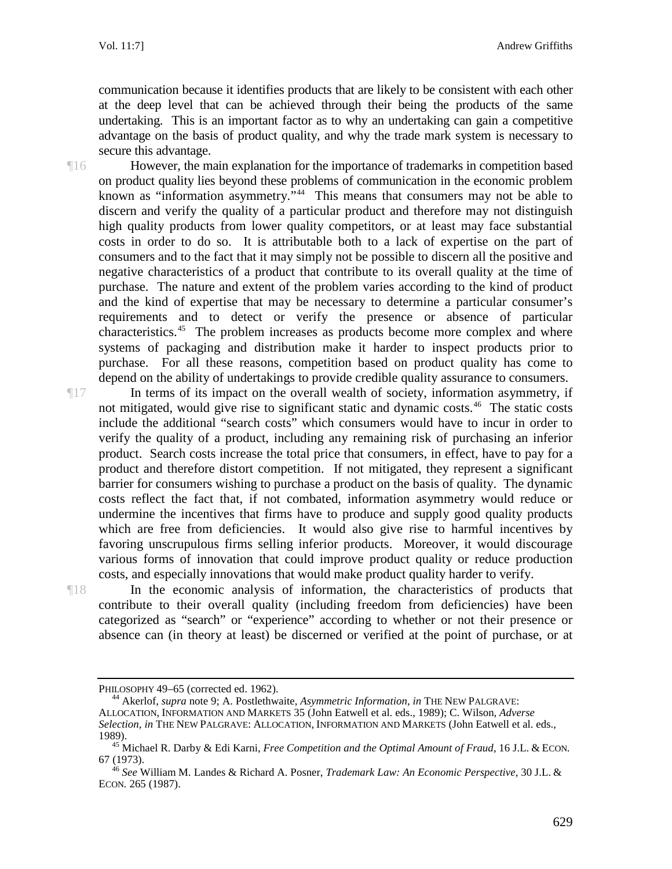communication because it identifies products that are likely to be consistent with each other at the deep level that can be achieved through their being the products of the same undertaking. This is an important factor as to why an undertaking can gain a competitive advantage on the basis of product quality, and why the trade mark system is necessary to secure this advantage.

¶16 However, the main explanation for the importance of trademarks in competition based on product quality lies beyond these problems of communication in the economic problem known as "information asymmetry."<sup>44</sup> This means that consumers may not be able to discern and verify the quality of a particular product and therefore may not distinguish high quality products from lower quality competitors, or at least may face substantial costs in order to do so. It is attributable both to a lack of expertise on the part of consumers and to the fact that it may simply not be possible to discern all the positive and negative characteristics of a product that contribute to its overall quality at the time of purchase. The nature and extent of the problem varies according to the kind of product and the kind of expertise that may be necessary to determine a particular consumer's requirements and to detect or verify the presence or absence of particular characteristics.<sup>[45](#page-10-1)</sup> The problem increases as products become more complex and where systems of packaging and distribution make it harder to inspect products prior to purchase. For all these reasons, competition based on product quality has come to depend on the ability of undertakings to provide credible quality assurance to consumers.

¶17 In terms of its impact on the overall wealth of society, information asymmetry, if not mitigated, would give rise to significant static and dynamic costs.<sup>46</sup> The static costs include the additional "search costs" which consumers would have to incur in order to verify the quality of a product, including any remaining risk of purchasing an inferior product. Search costs increase the total price that consumers, in effect, have to pay for a product and therefore distort competition. If not mitigated, they represent a significant barrier for consumers wishing to purchase a product on the basis of quality. The dynamic costs reflect the fact that, if not combated, information asymmetry would reduce or undermine the incentives that firms have to produce and supply good quality products which are free from deficiencies. It would also give rise to harmful incentives by favoring unscrupulous firms selling inferior products. Moreover, it would discourage various forms of innovation that could improve product quality or reduce production costs, and especially innovations that would make product quality harder to verify.

¶18 In the economic analysis of information, the characteristics of products that contribute to their overall quality (including freedom from deficiencies) have been categorized as "search" or "experience" according to whether or not their presence or absence can (in theory at least) be discerned or verified at the point of purchase, or at

<span id="page-10-0"></span>PHILOSOPHY 49–65 (corrected ed. 1962). <sup>44</sup> Akerlof, *supra* note 9; A. Postlethwaite, *Asymmetric Information*, *in* THE NEW PALGRAVE: ALLOCATION, INFORMATION AND MARKETS 35 (John Eatwell et al. eds., 1989); C. Wilson, *Adverse Selection*, *in* THE NEW PALGRAVE: ALLOCATION, INFORMATION AND MARKETS (John Eatwell et al. eds.,

<span id="page-10-1"></span><sup>1989).</sup> <sup>45</sup> Michael R. Darby & Edi Karni, *Free Competition and the Optimal Amount of Fraud*, 16 J.L. & ECON*.*  67 (1973). <sup>46</sup> *See* William M. Landes & Richard A. Posner, *Trademark Law: An Economic Perspective*, 30 J.L. &

<span id="page-10-2"></span>ECON*.* 265 (1987).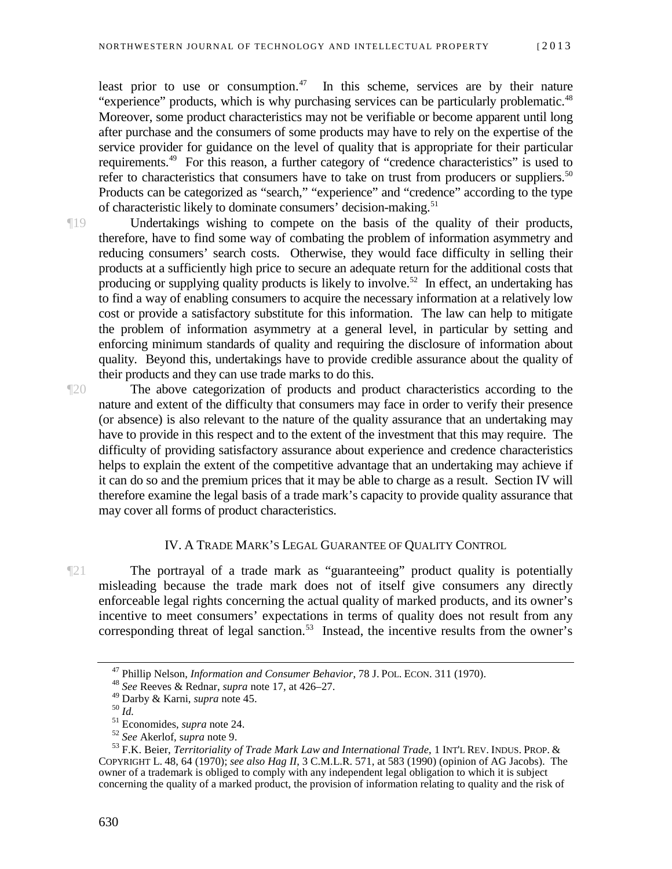least prior to use or consumption.<sup>47</sup> In this scheme, services are by their nature "experience" products, which is why purchasing services can be particularly problematic.<sup>[48](#page-11-2)</sup> Moreover, some product characteristics may not be verifiable or become apparent until long after purchase and the consumers of some products may have to rely on the expertise of the service provider for guidance on the level of quality that is appropriate for their particular requirements.[49](#page-11-3) For this reason, a further category of "credence characteristics" is used to refer to characteristics that consumers have to take on trust from producers or suppliers.<sup>[50](#page-11-4)</sup> Products can be categorized as "search," "experience" and "credence" according to the type of characteristic likely to dominate consumers' decision-making.<sup>[51](#page-11-5)</sup>

¶19 Undertakings wishing to compete on the basis of the quality of their products, therefore, have to find some way of combating the problem of information asymmetry and reducing consumers' search costs. Otherwise, they would face difficulty in selling their products at a sufficiently high price to secure an adequate return for the additional costs that producing or supplying quality products is likely to involve.<sup>52</sup> In effect, an undertaking has to find a way of enabling consumers to acquire the necessary information at a relatively low cost or provide a satisfactory substitute for this information. The law can help to mitigate the problem of information asymmetry at a general level, in particular by setting and enforcing minimum standards of quality and requiring the disclosure of information about quality. Beyond this, undertakings have to provide credible assurance about the quality of their products and they can use trade marks to do this.

¶20 The above categorization of products and product characteristics according to the nature and extent of the difficulty that consumers may face in order to verify their presence (or absence) is also relevant to the nature of the quality assurance that an undertaking may have to provide in this respect and to the extent of the investment that this may require. The difficulty of providing satisfactory assurance about experience and credence characteristics helps to explain the extent of the competitive advantage that an undertaking may achieve if it can do so and the premium prices that it may be able to charge as a result. Section IV will therefore examine the legal basis of a trade mark's capacity to provide quality assurance that may cover all forms of product characteristics.

### IV. A TRADE MARK'S LEGAL GUARANTEE OF QUALITY CONTROL

<span id="page-11-0"></span>¶21 The portrayal of a trade mark as "guaranteeing" product quality is potentially misleading because the trade mark does not of itself give consumers any directly enforceable legal rights concerning the actual quality of marked products, and its owner's incentive to meet consumers' expectations in terms of quality does not result from any corresponding threat of legal sanction.<sup>53</sup> Instead, the incentive results from the owner's

<sup>47</sup> Phillip Nelson, *Information and Consumer Behavior*, 78 J. POL. ECON. 311 (1970). <sup>48</sup> *See* Reeves & Rednar, *supra* note 17, at 426–27.

<span id="page-11-7"></span><span id="page-11-6"></span><span id="page-11-5"></span><span id="page-11-4"></span><span id="page-11-3"></span><span id="page-11-2"></span><span id="page-11-1"></span><sup>&</sup>lt;sup>50</sup> *Id.*<br><sup>51</sup> Economides, *supra* note 24.<br><sup>52</sup> See Akerlof, supra note 9.<br><sup>53</sup> F.K. Beier, *Territoriality of Trade Mark Law and International Trade*, 1 INT'L REV. INDUS. PROP. & COPYRIGHT L. 48, 64 (1970); *see also Hag II*, 3 C.M.L.R. 571, at 583 (1990) (opinion of AG Jacobs). The owner of a trademark is obliged to comply with any independent legal obligation to which it is subject concerning the quality of a marked product, the provision of information relating to quality and the risk of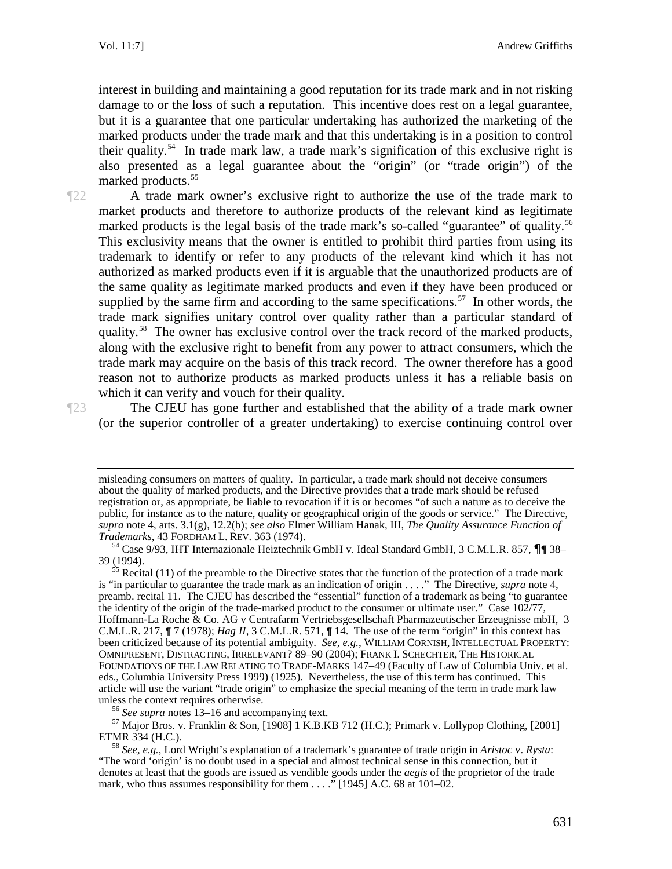interest in building and maintaining a good reputation for its trade mark and in not risking damage to or the loss of such a reputation. This incentive does rest on a legal guarantee, but it is a guarantee that one particular undertaking has authorized the marketing of the marked products under the trade mark and that this undertaking is in a position to control their quality.<sup>54</sup> In trade mark law, a trade mark's signification of this exclusive right is also presented as a legal guarantee about the "origin" (or "trade origin") of the marked products.<sup>[55](#page-12-1)</sup>

¶22 A trade mark owner's exclusive right to authorize the use of the trade mark to market products and therefore to authorize products of the relevant kind as legitimate marked products is the legal basis of the trade mark's so-called "guarantee" of quality.<sup>[56](#page-12-2)</sup> This exclusivity means that the owner is entitled to prohibit third parties from using its trademark to identify or refer to any products of the relevant kind which it has not authorized as marked products even if it is arguable that the unauthorized products are of the same quality as legitimate marked products and even if they have been produced or supplied by the same firm and according to the same specifications.<sup>57</sup> In other words, the trade mark signifies unitary control over quality rather than a particular standard of quality.<sup>58</sup> The owner has exclusive control over the track record of the marked products, along with the exclusive right to benefit from any power to attract consumers, which the trade mark may acquire on the basis of this track record. The owner therefore has a good reason not to authorize products as marked products unless it has a reliable basis on which it can verify and vouch for their quality.

¶23 The CJEU has gone further and established that the ability of a trade mark owner (or the superior controller of a greater undertaking) to exercise continuing control over

<span id="page-12-3"></span><span id="page-12-2"></span><sup>56</sup> *See supra* notes 13–16 and accompanying text.<br><sup>57</sup> Major Bros. v. Franklin & Son, [1908] 1 K.B.KB 712 (H.C.); Primark v. Lollypop Clothing, [2001]<br>ETMR 334 (H.C.).

misleading consumers on matters of quality. In particular, a trade mark should not deceive consumers about the quality of marked products, and the Directive provides that a trade mark should be refused registration or, as appropriate, be liable to revocation if it is or becomes "of such a nature as to deceive the public, for instance as to the nature, quality or geographical origin of the goods or service." The Directive, *supra* note 4, arts. 3.1(g), 12.2(b); *see also* Elmer William Hanak, III, *The Quality Assurance Function of* 

<sup>&</sup>lt;sup>54</sup> Case 9/93, IHT Internazionale Heiztechnik GmbH v. Ideal Standard GmbH, 3 C.M.L.R. 857, **¶**¶ 38–

<span id="page-12-1"></span><span id="page-12-0"></span><sup>39 (1994).&</sup>lt;br><sup>55</sup> Recital (11) of the preamble to the Directive states that the function of the protection of a trade mark<br> $\frac{1}{2}$ . The Directive survey note 4 is "in particular to guarantee the trade mark as an indication of origin . . . ." The Directive, *supra* note 4, preamb. recital 11. The CJEU has described the "essential" function of a trademark as being "to guarantee the identity of the origin of the trade-marked product to the consumer or ultimate user." Case 102/77, Hoffmann-La Roche & Co. AG v Centrafarm Vertriebsgesellschaft Pharmazeutischer Erzeugnisse mbH, 3 C.M.L.R. 217,  $\P$  7 (1978); *Hag II*, 3 C.M.L.R. 571,  $\P$  14. The use of the term "origin" in this context has been criticized because of its potential ambiguity. *See, e.g.*, WILLIAM CORNISH, INTELLECTUAL PROPERTY: OMNIPRESENT, DISTRACTING, IRRELEVANT? 89–90 (2004); FRANK I. SCHECHTER, THE HISTORICAL FOUNDATIONS OF THE LAW RELATING TO TRADE-MARKS 147–49 (Faculty of Law of Columbia Univ. et al. eds., Columbia University Press 1999) (1925). Nevertheless, the use of this term has continued. This article will use the variant "trade origin" to emphasize the special meaning of the term in trade mark law

<span id="page-12-4"></span><sup>&</sup>lt;sup>58</sup> *See, e.g.*, Lord Wright's explanation of a trademark's guarantee of trade origin in *Aristoc v. Rysta*: "The word 'origin' is no doubt used in a special and almost technical sense in this connection, but it denotes at least that the goods are issued as vendible goods under the *aegis* of the proprietor of the trade mark, who thus assumes responsibility for them . . . ." [1945] A.C. 68 at 101–02.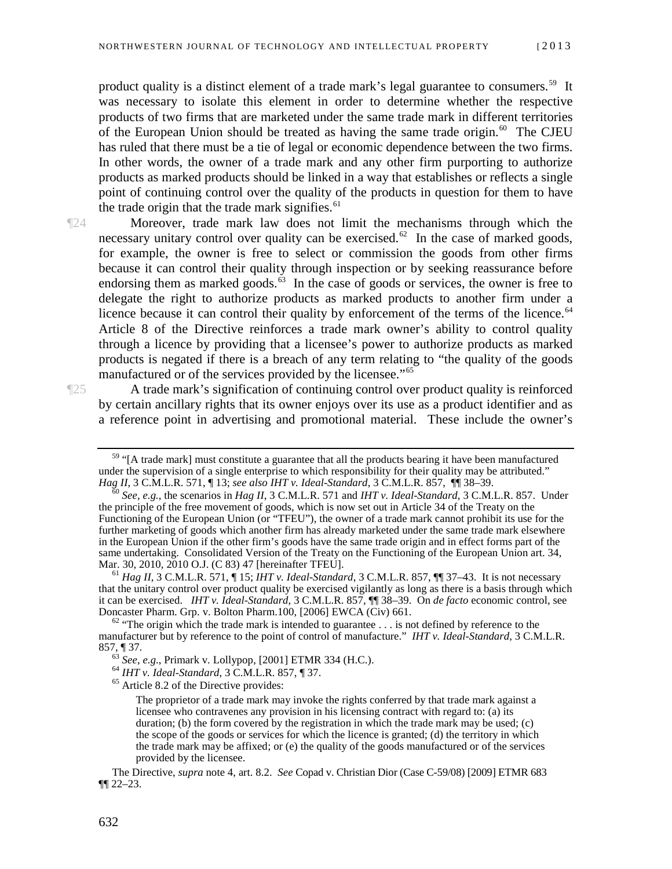product quality is a distinct element of a trade mark's legal guarantee to consumers.<sup>[59](#page-13-0)</sup> It was necessary to isolate this element in order to determine whether the respective products of two firms that are marketed under the same trade mark in different territories of the European Union should be treated as having the same trade origin.<sup>[60](#page-13-1)</sup> The CJEU has ruled that there must be a tie of legal or economic dependence between the two firms. In other words, the owner of a trade mark and any other firm purporting to authorize products as marked products should be linked in a way that establishes or reflects a single point of continuing control over the quality of the products in question for them to have the trade origin that the trade mark signifies.<sup>[61](#page-13-2)</sup>

¶24 Moreover, trade mark law does not limit the mechanisms through which the necessary unitary control over quality can be exercised.<sup>[62](#page-13-3)</sup> In the case of marked goods, for example, the owner is free to select or commission the goods from other firms because it can control their quality through inspection or by seeking reassurance before endorsing them as marked goods.<sup>[63](#page-13-4)</sup> In the case of goods or services, the owner is free to delegate the right to authorize products as marked products to another firm under a licence because it can control their quality by enforcement of the terms of the licence.<sup>[64](#page-13-5)</sup> Article 8 of the Directive reinforces a trade mark owner's ability to control quality through a licence by providing that a licensee's power to authorize products as marked products is negated if there is a breach of any term relating to "the quality of the goods manufactured or of the services provided by the licensee."<sup>[65](#page-13-6)</sup>

<span id="page-13-0"></span>

¶25 A trade mark's signification of continuing control over product quality is reinforced by certain ancillary rights that its owner enjoys over its use as a product identifier and as a reference point in advertising and promotional material. These include the owner's

 $59$  "[A trade mark] must constitute a guarantee that all the products bearing it have been manufactured under the supervision of a single enterprise to which responsibility for their quality may be attributed."<br>Hag II, 3 C.M.L.R. 571,  $\P$  13; see also IHT v. Ideal-Standard, 3 C.M.L.R. 857,  $\P$  $\P$  38–39.

<span id="page-13-1"></span>See, e.g., the scenarios in Hag II, 3 C.M.L.R. 571 and IHT v. Ideal-Standard, 3 C.M.L.R. 857. Under the principle of the free movement of goods, which is now set out in Article 34 of the Treaty on the Functioning of the European Union (or "TFEU"), the owner of a trade mark cannot prohibit its use for the further marketing of goods which another firm has already marketed under the same trade mark elsewhere in the European Union if the other firm's goods have the same trade origin and in effect forms part of the same undertaking. Consolidated Version of the Treaty on the Functioning of the European Union art. 34, Mar. 30, 2010, 2010 O.J. (C 83) 47 [hereinafter TFEU].<br><sup>61</sup> *Hag II*, 3 C.M.L.R. 571, ¶ 15; *IHT v. Ideal-Standard*, 3 C.M.L.R. 857, ¶¶ 37–43. It is not necessary

<span id="page-13-2"></span>that the unitary control over product quality be exercised vigilantly as long as there is a basis through which it can be exercised. *IHT v. Ideal-Standard*, 3 C.M.L.R. 857, ¶¶ 38–39. On *de facto* economic control, see

<span id="page-13-5"></span><span id="page-13-4"></span><span id="page-13-3"></span> $\frac{62}{100}$  "The origin which the trade mark is intended to guarantee . . . is not defined by reference to the manufacturer but by reference to the point of control of manufacture." *IHT v. Ideal-Standard*, 3 C.M.L.R. 857, ¶ 37.<br><sup>63</sup> *See*, *e.g.*, Primark v. Lollypop, [2001] ETMR 334 (H.C.).<br><sup>64</sup> *IHT v. Ideal-Standard*, 3 C.M.L.R. 857, ¶ 37.

<span id="page-13-6"></span>

The proprietor of a trade mark may invoke the rights conferred by that trade mark against a licensee who contravenes any provision in his licensing contract with regard to: (a) its duration; (b) the form covered by the registration in which the trade mark may be used; (c) the scope of the goods or services for which the licence is granted; (d) the territory in which the trade mark may be affixed; or (e) the quality of the goods manufactured or of the services provided by the licensee.

The Directive, *supra* note 4, art. 8.2. *See* Copad v. Christian Dior (Case C-59/08) [2009] ETMR 683 ¶¶ 22–23.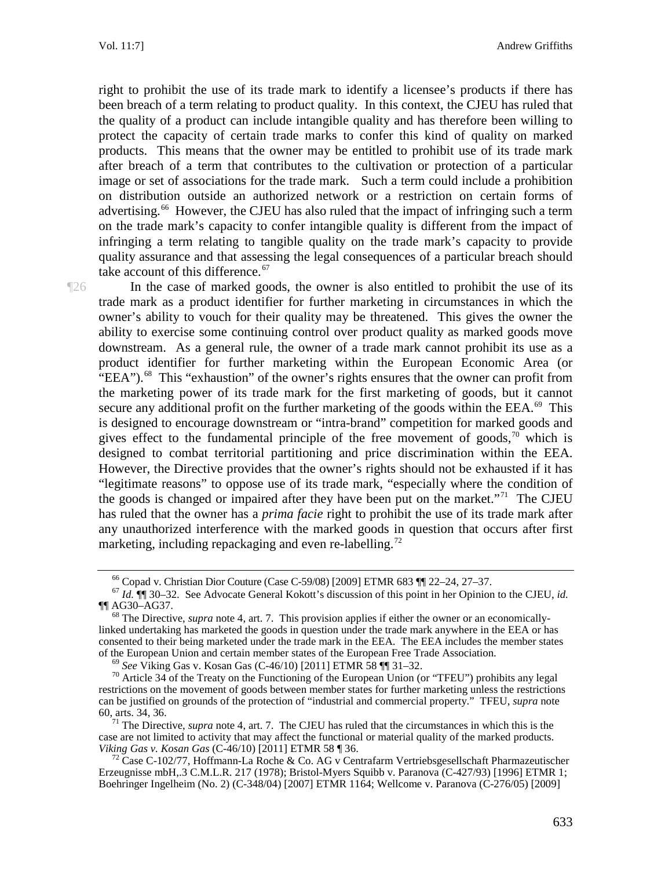right to prohibit the use of its trade mark to identify a licensee's products if there has been breach of a term relating to product quality. In this context, the CJEU has ruled that the quality of a product can include intangible quality and has therefore been willing to protect the capacity of certain trade marks to confer this kind of quality on marked products. This means that the owner may be entitled to prohibit use of its trade mark after breach of a term that contributes to the cultivation or protection of a particular image or set of associations for the trade mark. Such a term could include a prohibition on distribution outside an authorized network or a restriction on certain forms of advertising.<sup>66</sup> However, the CJEU has also ruled that the impact of infringing such a term on the trade mark's capacity to confer intangible quality is different from the impact of infringing a term relating to tangible quality on the trade mark's capacity to provide quality assurance and that assessing the legal consequences of a particular breach should take account of this difference.<sup>[67](#page-14-1)</sup>

¶26 In the case of marked goods, the owner is also entitled to prohibit the use of its trade mark as a product identifier for further marketing in circumstances in which the owner's ability to vouch for their quality may be threatened. This gives the owner the ability to exercise some continuing control over product quality as marked goods move downstream. As a general rule, the owner of a trade mark cannot prohibit its use as a product identifier for further marketing within the European Economic Area (or "EEA").<sup>[68](#page-14-2)</sup> This "exhaustion" of the owner's rights ensures that the owner can profit from the marketing power of its trade mark for the first marketing of goods, but it cannot secure any additional profit on the further marketing of the goods within the EEA. $^{69}$  $^{69}$  $^{69}$  This is designed to encourage downstream or "intra-brand" competition for marked goods and gives effect to the fundamental principle of the free movement of goods,  $\frac{1}{10}$  which is designed to combat territorial partitioning and price discrimination within the EEA. However, the Directive provides that the owner's rights should not be exhausted if it has "legitimate reasons" to oppose use of its trade mark, "especially where the condition of the goods is changed or impaired after they have been put on the market. $11$  The CJEU has ruled that the owner has a *prima facie* right to prohibit the use of its trade mark after any unauthorized interference with the marked goods in question that occurs after first marketing, including repackaging and even re-labelling.<sup>[72](#page-14-6)</sup>

<span id="page-14-5"></span>case are not limited to activity that may affect the functional or material quality of the marked products.<br>Viking Gas v. Kosan Gas (C-46/10) [2011] ETMR 58 ¶ 36.

<span id="page-14-1"></span><span id="page-14-0"></span><sup>&</sup>lt;sup>66</sup> Copad v. Christian Dior Couture (Case C-59/08) [2009] ETMR 683 ¶¶ 22–24, 27–37.<br><sup>67</sup> *Id.* ¶¶ 30–32. See Advocate General Kokott's discussion of this point in her Opinion to the CJEU, *id.*<br>¶¶ AG30–AG37.

<span id="page-14-2"></span> $^{68}$  The Directive, *supra* note 4, art. 7. This provision applies if either the owner or an economicallylinked undertaking has marketed the goods in question under the trade mark anywhere in the EEA or has consented to their being marketed under the trade mark in the EEA. The EEA includes the member states of the European Union and certain member states of the European Free Trade Association.

<span id="page-14-4"></span><span id="page-14-3"></span><sup>&</sup>lt;sup>69</sup> See Viking Gas v. Kosan Gas (C-46/10) [2011] ETMR 58  $\P$  131–32.<br><sup>70</sup> Article 34 of the Treaty on the Functioning of the European Union (or "TFEU") prohibits any legal restrictions on the movement of goods between member states for further marketing unless the restrictions can be justified on grounds of the protection of "industrial and commercial property." TFEU, *supra* note 60, arts. 34, 36. <sup>71</sup> The Directive, *supra* note 4, art. 7. The CJEU has ruled that the circumstances in which this is the

<span id="page-14-6"></span><sup>&</sup>lt;sup>72</sup> Case C-102/77, Hoffmann-La Roche & Co. AG v Centrafarm Vertriebsgesellschaft Pharmazeutischer Erzeugnisse mbH,.3 C.M.L.R. 217 (1978); Bristol-Myers Squibb v. Paranova (C-427/93) [1996] ETMR 1; Boehringer Ingelheim (No. 2) (C-348/04) [2007] ETMR 1164; Wellcome v. Paranova (C-276/05) [2009]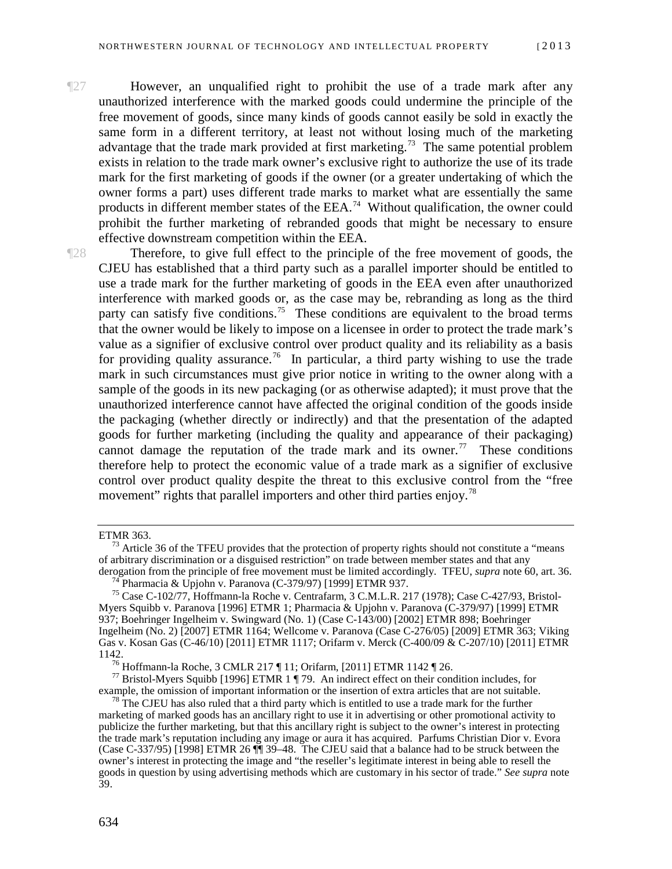¶27 However, an unqualified right to prohibit the use of a trade mark after any unauthorized interference with the marked goods could undermine the principle of the free movement of goods, since many kinds of goods cannot easily be sold in exactly the same form in a different territory, at least not without losing much of the marketing advantage that the trade mark provided at first marketing.<sup>73</sup> The same potential problem exists in relation to the trade mark owner's exclusive right to authorize the use of its trade mark for the first marketing of goods if the owner (or a greater undertaking of which the owner forms a part) uses different trade marks to market what are essentially the same products in different member states of the EEA.<sup>74</sup> Without qualification, the owner could prohibit the further marketing of rebranded goods that might be necessary to ensure effective downstream competition within the EEA.

¶28 Therefore, to give full effect to the principle of the free movement of goods, the CJEU has established that a third party such as a parallel importer should be entitled to use a trade mark for the further marketing of goods in the EEA even after unauthorized interference with marked goods or, as the case may be, rebranding as long as the third party can satisfy five conditions.<sup>75</sup> These conditions are equivalent to the broad terms that the owner would be likely to impose on a licensee in order to protect the trade mark's value as a signifier of exclusive control over product quality and its reliability as a basis for providing quality assurance.<sup>76</sup> In particular, a third party wishing to use the trade mark in such circumstances must give prior notice in writing to the owner along with a sample of the goods in its new packaging (or as otherwise adapted); it must prove that the unauthorized interference cannot have affected the original condition of the goods inside the packaging (whether directly or indirectly) and that the presentation of the adapted goods for further marketing (including the quality and appearance of their packaging) cannot damage the reputation of the trade mark and its owner.<sup>[77](#page-15-4)</sup> These conditions therefore help to protect the economic value of a trade mark as a signifier of exclusive control over product quality despite the threat to this exclusive control from the "free movement" rights that parallel importers and other third parties enjoy.<sup>[78](#page-15-5)</sup>

<span id="page-15-0"></span>

ETMR 363.<br><sup>73</sup> Article 36 of the TFEU provides that the protection of property rights should not constitute a "means" of arbitrary discrimination or a disguised restriction" on trade between member states and that any derogation from the principle of free movement must be limited accordingly. TFEU, *supra* note 60, art. 36.

<span id="page-15-2"></span><span id="page-15-1"></span><sup>&</sup>lt;sup>74</sup> Pharmacia & Upjohn v. Paranova (C-379/97) [1999] ETMR 937.<br><sup>75</sup> Case C-102/77, Hoffmann-la Roche v. Centrafarm, 3 C.M.L.R. 217 (1978); Case C-427/93, Bristol-Myers Squibb v. Paranova [1996] ETMR 1; Pharmacia & Upjohn v. Paranova (C-379/97) [1999] ETMR 937; Boehringer Ingelheim v. Swingward (No. 1) (Case C-143/00) [2002] ETMR 898; Boehringer Ingelheim (No. 2) [2007] ETMR 1164; Wellcome v. Paranova (Case C-276/05) [2009] ETMR 363; Viking Gas v. Kosan Gas (C-46/10) [2011] ETMR 1117; Orifarm v. Merck (C-400/09 & C-207/10) [2011] ETMR<br>1142.

<span id="page-15-4"></span><span id="page-15-3"></span><sup>&</sup>lt;sup>76</sup> Hoffmann-la Roche, 3 CMLR 217 ¶ 11; Orifarm, [2011] ETMR 1142 ¶ 26.<br><sup>77</sup> Bristol-Myers Squibb [1996] ETMR 1 ¶ 79. An indirect effect on their condition includes, for example, the omission of important information or the insertion of extra articles that are not suitable. <sup>78</sup> The CJEU has also ruled that a third party which is entitled to use a trade mark for the further

<span id="page-15-5"></span>marketing of marked goods has an ancillary right to use it in advertising or other promotional activity to publicize the further marketing, but that this ancillary right is subject to the owner's interest in protecting the trade mark's reputation including any image or aura it has acquired. Parfums Christian Dior v. Evora (Case C-337/95) [1998] ETMR 26 ¶¶ 39–48. The CJEU said that a balance had to be struck between the owner's interest in protecting the image and "the reseller's legitimate interest in being able to resell the goods in question by using advertising methods which are customary in his sector of trade." *See supra* note 39.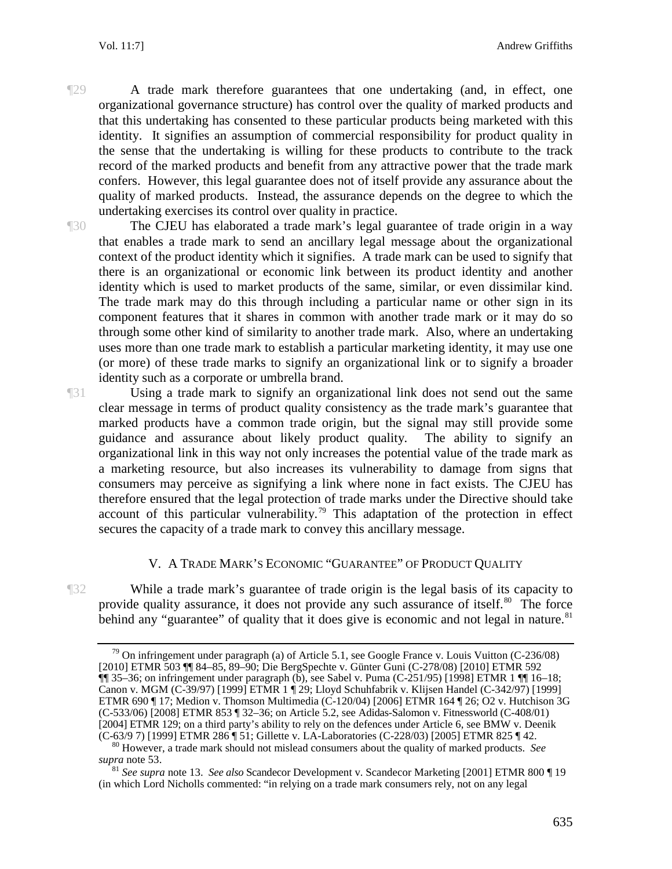¶29 A trade mark therefore guarantees that one undertaking (and, in effect, one organizational governance structure) has control over the quality of marked products and that this undertaking has consented to these particular products being marketed with this identity. It signifies an assumption of commercial responsibility for product quality in the sense that the undertaking is willing for these products to contribute to the track record of the marked products and benefit from any attractive power that the trade mark confers. However, this legal guarantee does not of itself provide any assurance about the quality of marked products. Instead, the assurance depends on the degree to which the undertaking exercises its control over quality in practice.

¶30 The CJEU has elaborated a trade mark's legal guarantee of trade origin in a way that enables a trade mark to send an ancillary legal message about the organizational context of the product identity which it signifies. A trade mark can be used to signify that there is an organizational or economic link between its product identity and another identity which is used to market products of the same, similar, or even dissimilar kind. The trade mark may do this through including a particular name or other sign in its component features that it shares in common with another trade mark or it may do so through some other kind of similarity to another trade mark. Also, where an undertaking uses more than one trade mark to establish a particular marketing identity, it may use one (or more) of these trade marks to signify an organizational link or to signify a broader identity such as a corporate or umbrella brand.

¶31 Using a trade mark to signify an organizational link does not send out the same clear message in terms of product quality consistency as the trade mark's guarantee that marked products have a common trade origin, but the signal may still provide some guidance and assurance about likely product quality. The ability to signify an organizational link in this way not only increases the potential value of the trade mark as a marketing resource, but also increases its vulnerability to damage from signs that consumers may perceive as signifying a link where none in fact exists. The CJEU has therefore ensured that the legal protection of trade marks under the Directive should take account of this particular vulnerability.<sup>[79](#page-16-1)</sup> This adaptation of the protection in effect secures the capacity of a trade mark to convey this ancillary message.

### V. A TRADE MARK'S ECONOMIC "GUARANTEE" OF PRODUCT QUALITY

<span id="page-16-0"></span>

<span id="page-16-1"></span>¶32 While a trade mark's guarantee of trade origin is the legal basis of its capacity to provide quality assurance, it does not provide any such assurance of itself.<sup>[80](#page-16-2)</sup> The force behind any "guarantee" of quality that it does give is economic and not legal in nature. $81$ 

<sup>&</sup>lt;sup>79</sup> On infringement under paragraph (a) of Article 5.1, see Google France v. Louis Vuitton (C-236/08) [2010] ETMR 503 ¶¶ 84–85, 89–90; Die BergSpechte v. Günter Guni (C-278/08) [2010] ETMR 592 ¶¶ 35–36; on infringement under paragraph (b), see Sabel v. Puma (C-251/95) [1998] ETMR 1 ¶¶ 16–18; Canon v. MGM (C-39/97) [1999] ETMR 1 ¶ 29; Lloyd Schuhfabrik v. Klijsen Handel (C-342/97) [1999] ETMR 690 ¶ 17; Medion v. Thomson Multimedia (C-120/04) [2006] ETMR 164 ¶ 26; O2 v. Hutchison 3G (C-533/06) [2008] ETMR 853 ¶ 32–36; on Article 5.2, see Adidas-Salomon v. Fitnessworld (C-408/01) [2004] ETMR 129; on a third party's ability to rely on the defences under Article 6, see BMW v. Deenik (C-63/9 7) [1999] ETMR 286  $\parallel$  51; Gillette v. LA-Laboratories (C-228/03) [2005] ETMR 825  $\parallel$  42.

<span id="page-16-2"></span><sup>&</sup>lt;sup>80</sup> However, a trade mark should not mislead consumers about the quality of marked products. *See supra* note 53. <sup>81</sup> *See supra* note 13. *See also* Scandecor Development v. Scandecor Marketing [2001] ETMR 800 ¶ <sup>19</sup>

<span id="page-16-3"></span><sup>(</sup>in which Lord Nicholls commented: "in relying on a trade mark consumers rely, not on any legal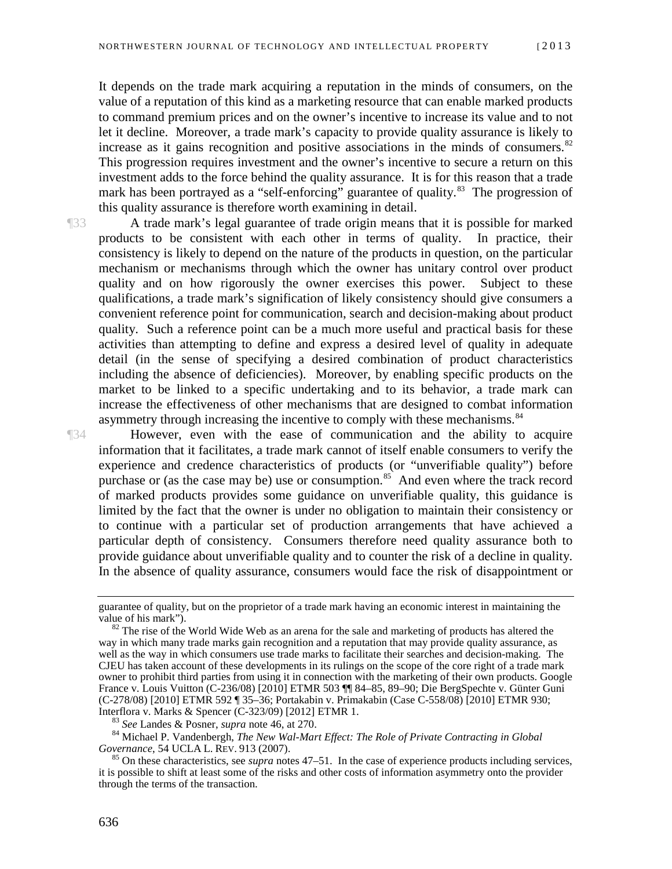It depends on the trade mark acquiring a reputation in the minds of consumers, on the value of a reputation of this kind as a marketing resource that can enable marked products to command premium prices and on the owner's incentive to increase its value and to not let it decline. Moreover, a trade mark's capacity to provide quality assurance is likely to increase as it gains recognition and positive associations in the minds of consumers. $82$ This progression requires investment and the owner's incentive to secure a return on this investment adds to the force behind the quality assurance. It is for this reason that a trade mark has been portrayed as a "self-enforcing" guarantee of quality.<sup>83</sup> The progression of this quality assurance is therefore worth examining in detail.

¶33 A trade mark's legal guarantee of trade origin means that it is possible for marked products to be consistent with each other in terms of quality. In practice, their consistency is likely to depend on the nature of the products in question, on the particular mechanism or mechanisms through which the owner has unitary control over product quality and on how rigorously the owner exercises this power. Subject to these qualifications, a trade mark's signification of likely consistency should give consumers a convenient reference point for communication, search and decision-making about product quality. Such a reference point can be a much more useful and practical basis for these activities than attempting to define and express a desired level of quality in adequate detail (in the sense of specifying a desired combination of product characteristics including the absence of deficiencies). Moreover, by enabling specific products on the market to be linked to a specific undertaking and to its behavior, a trade mark can increase the effectiveness of other mechanisms that are designed to combat information asymmetry through increasing the incentive to comply with these mechanisms.<sup>[84](#page-17-2)</sup>

¶34 However, even with the ease of communication and the ability to acquire information that it facilitates, a trade mark cannot of itself enable consumers to verify the experience and credence characteristics of products (or "unverifiable quality") before purchase or (as the case may be) use or consumption.<sup>85</sup> And even where the track record of marked products provides some guidance on unverifiable quality, this guidance is limited by the fact that the owner is under no obligation to maintain their consistency or to continue with a particular set of production arrangements that have achieved a particular depth of consistency. Consumers therefore need quality assurance both to provide guidance about unverifiable quality and to counter the risk of a decline in quality. In the absence of quality assurance, consumers would face the risk of disappointment or

<span id="page-17-2"></span><span id="page-17-1"></span><sup>83</sup> See Landes & Posner, *supra* note 46, at 270.<br><sup>84</sup> Michael P. Vandenbergh, *The New Wal-Mart Effect: The Role of Private Contracting in Global Governance, 54 UCLA L. REV. 913 (2007).* 

guarantee of quality, but on the proprietor of a trade mark having an economic interest in maintaining the value of his mark").

<span id="page-17-0"></span> $\frac{82}{10}$ . The rise of the World Wide Web as an arena for the sale and marketing of products has altered the way in which many trade marks gain recognition and a reputation that may provide quality assurance, as well as the way in which consumers use trade marks to facilitate their searches and decision-making. The CJEU has taken account of these developments in its rulings on the scope of the core right of a trade mark owner to prohibit third parties from using it in connection with the marketing of their own products. Google France v. Louis Vuitton (C-236/08) [2010] ETMR 503 ¶¶ 84–85, 89–90; Die BergSpechte v. Günter Guni (C-278/08) [2010] ETMR 592 ¶ 35–36; Portakabin v. Primakabin (Case C-558/08) [2010] ETMR 930;<br>Interflora v. Marks & Spencer (C-323/09) [2012] ETMR 1.

<span id="page-17-3"></span><sup>&</sup>lt;sup>85</sup> On these characteristics, see *supra* notes 47–51. In the case of experience products including services, it is possible to shift at least some of the risks and other costs of information asymmetry onto the provider through the terms of the transaction.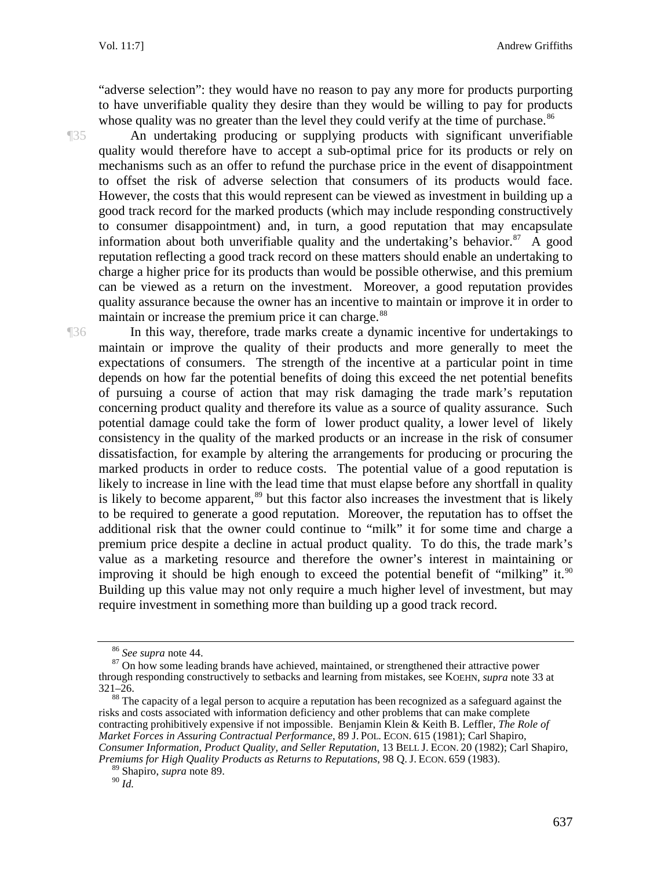"adverse selection": they would have no reason to pay any more for products purporting to have unverifiable quality they desire than they would be willing to pay for products whose quality was no greater than the level they could verify at the time of purchase.<sup>[86](#page-18-0)</sup>

¶35 An undertaking producing or supplying products with significant unverifiable quality would therefore have to accept a sub-optimal price for its products or rely on mechanisms such as an offer to refund the purchase price in the event of disappointment to offset the risk of adverse selection that consumers of its products would face. However, the costs that this would represent can be viewed as investment in building up a good track record for the marked products (which may include responding constructively to consumer disappointment) and, in turn, a good reputation that may encapsulate information about both unverifiable quality and the undertaking's behavior.<sup>87</sup> A good reputation reflecting a good track record on these matters should enable an undertaking to charge a higher price for its products than would be possible otherwise, and this premium can be viewed as a return on the investment. Moreover, a good reputation provides quality assurance because the owner has an incentive to maintain or improve it in order to maintain or increase the premium price it can charge.<sup>[88](#page-18-2)</sup>

¶36 In this way, therefore, trade marks create a dynamic incentive for undertakings to maintain or improve the quality of their products and more generally to meet the expectations of consumers. The strength of the incentive at a particular point in time depends on how far the potential benefits of doing this exceed the net potential benefits of pursuing a course of action that may risk damaging the trade mark's reputation concerning product quality and therefore its value as a source of quality assurance. Such potential damage could take the form of lower product quality, a lower level of likely consistency in the quality of the marked products or an increase in the risk of consumer dissatisfaction, for example by altering the arrangements for producing or procuring the marked products in order to reduce costs. The potential value of a good reputation is likely to increase in line with the lead time that must elapse before any shortfall in quality is likely to become apparent, $89$  but this factor also increases the investment that is likely to be required to generate a good reputation. Moreover, the reputation has to offset the additional risk that the owner could continue to "milk" it for some time and charge a premium price despite a decline in actual product quality. To do this, the trade mark's value as a marketing resource and therefore the owner's interest in maintaining or improving it should be high enough to exceed the potential benefit of "milking" it. $90$ Building up this value may not only require a much higher level of investment, but may require investment in something more than building up a good track record.

<span id="page-18-2"></span><sup>88</sup> The capacity of a legal person to acquire a reputation has been recognized as a safeguard against the risks and costs associated with information deficiency and other problems that can make complete contracting prohibitively expensive if not impossible. Benjamin Klein & Keith B. Leffler, *The Role of Market Forces in Assuring Contractual Performance*, 89 J. POL. ECON. 615 (1981); Carl Shapiro, *Consumer Information, Product Quality, and Seller Reputation*, 13 BELL J. ECON. 20 (1982); Carl Shapiro, *Premiums for High Quality Products as Returns to Reputations*, 98 Q. J. ECON. 659 (1983).

<span id="page-18-1"></span><span id="page-18-0"></span><sup>&</sup>lt;sup>86</sup> See supra note 44.<br><sup>87</sup> On how some leading brands have achieved, maintained, or strengthened their attractive power through responding constructively to setbacks and learning from mistakes, see KOEHN, *supra* note 33 at

<sup>89</sup> Shapiro, *supra* note 89.

<span id="page-18-4"></span><span id="page-18-3"></span> $90\overline{1}$ d.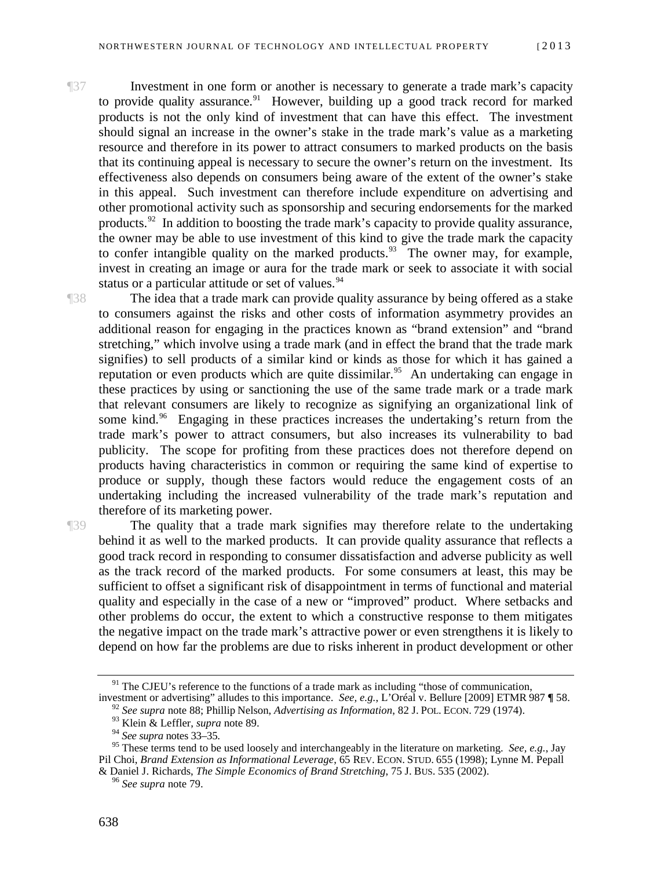¶37 Investment in one form or another is necessary to generate a trade mark's capacity to provide quality assurance.<sup>[91](#page-19-0)</sup> However, building up a good track record for marked products is not the only kind of investment that can have this effect. The investment should signal an increase in the owner's stake in the trade mark's value as a marketing resource and therefore in its power to attract consumers to marked products on the basis that its continuing appeal is necessary to secure the owner's return on the investment. Its effectiveness also depends on consumers being aware of the extent of the owner's stake in this appeal. Such investment can therefore include expenditure on advertising and other promotional activity such as sponsorship and securing endorsements for the marked products.<sup>92</sup> In addition to boosting the trade mark's capacity to provide quality assurance, the owner may be able to use investment of this kind to give the trade mark the capacity to confer intangible quality on the marked products.<sup>[93](#page-19-2)</sup> The owner may, for example, invest in creating an image or aura for the trade mark or seek to associate it with social status or a particular attitude or set of values.<sup>[94](#page-19-3)</sup>

¶38 The idea that a trade mark can provide quality assurance by being offered as a stake to consumers against the risks and other costs of information asymmetry provides an additional reason for engaging in the practices known as "brand extension" and "brand stretching," which involve using a trade mark (and in effect the brand that the trade mark signifies) to sell products of a similar kind or kinds as those for which it has gained a reputation or even products which are quite dissimilar.<sup>[95](#page-19-4)</sup> An undertaking can engage in these practices by using or sanctioning the use of the same trade mark or a trade mark that relevant consumers are likely to recognize as signifying an organizational link of some kind.<sup>[96](#page-19-5)</sup> Engaging in these practices increases the undertaking's return from the trade mark's power to attract consumers, but also increases its vulnerability to bad publicity. The scope for profiting from these practices does not therefore depend on products having characteristics in common or requiring the same kind of expertise to produce or supply, though these factors would reduce the engagement costs of an undertaking including the increased vulnerability of the trade mark's reputation and therefore of its marketing power.

¶39 The quality that a trade mark signifies may therefore relate to the undertaking behind it as well to the marked products. It can provide quality assurance that reflects a good track record in responding to consumer dissatisfaction and adverse publicity as well as the track record of the marked products. For some consumers at least, this may be sufficient to offset a significant risk of disappointment in terms of functional and material quality and especially in the case of a new or "improved" product. Where setbacks and other problems do occur, the extent to which a constructive response to them mitigates the negative impact on the trade mark's attractive power or even strengthens it is likely to depend on how far the problems are due to risks inherent in product development or other

<span id="page-19-1"></span><span id="page-19-0"></span><sup>&</sup>lt;sup>91</sup> The CJEU's reference to the functions of a trade mark as including "those of communication, investment or advertising" alludes to this importance. *See, e.g.*, L'Oréal v. Bellure [2009] ETMR 987  $\P$  58.

 $92$  See supra note 88; Phillip Nelson, *Advertising as Information*, 82 J. POL. ECON. 729 (1974).

<sup>93</sup> Klein & Leffler, *supra* note 89.

<sup>94</sup> *See supra* notes 33–35.

<span id="page-19-5"></span><span id="page-19-4"></span><span id="page-19-3"></span><span id="page-19-2"></span><sup>&</sup>lt;sup>95</sup> These terms tend to be used loosely and interchangeably in the literature on marketing. *See, e.g.*, Jay Pil Choi, *Brand Extension as Informational Leverage*, 65 REV. ECON. STUD. 655 (1998); Lynne M. Pepall & Daniel J. Richards, *The Simple Economics of Brand Stretching*, 75 J. BUS. 535 (2002). <sup>96</sup> *See supra* note 79.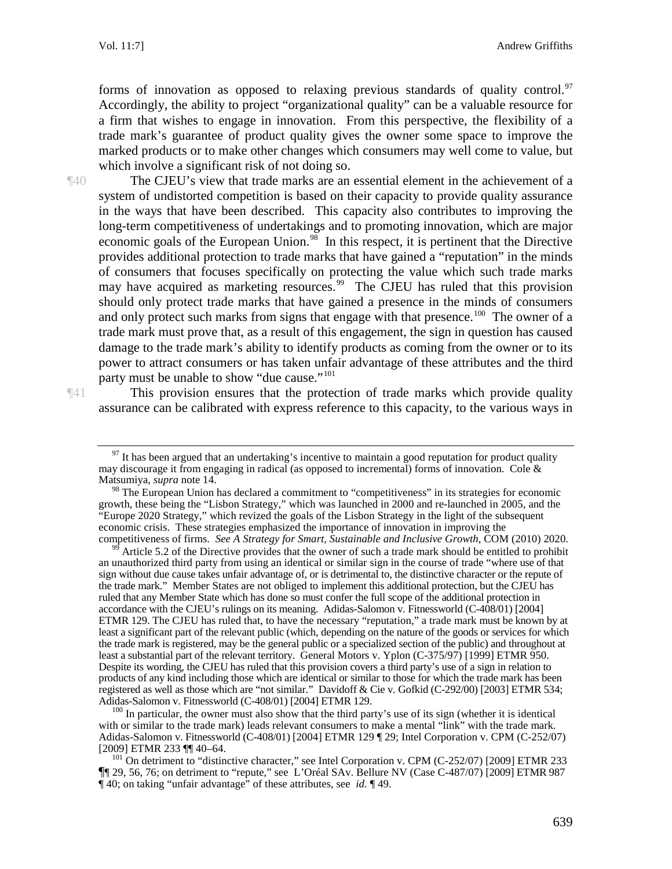Vol. 11:7] Andrew Griffiths

forms of innovation as opposed to relaxing previous standards of quality control. $97$ Accordingly, the ability to project "organizational quality" can be a valuable resource for a firm that wishes to engage in innovation. From this perspective, the flexibility of a trade mark's guarantee of product quality gives the owner some space to improve the marked products or to make other changes which consumers may well come to value, but which involve a significant risk of not doing so.

¶40 The CJEU's view that trade marks are an essential element in the achievement of a system of undistorted competition is based on their capacity to provide quality assurance in the ways that have been described. This capacity also contributes to improving the long-term competitiveness of undertakings and to promoting innovation, which are major economic goals of the European Union.<sup>98</sup> In this respect, it is pertinent that the Directive provides additional protection to trade marks that have gained a "reputation" in the minds of consumers that focuses specifically on protecting the value which such trade marks may have acquired as marketing resources.<sup>99</sup> The CJEU has ruled that this provision should only protect trade marks that have gained a presence in the minds of consumers and only protect such marks from signs that engage with that presence.<sup>[100](#page-20-3)</sup> The owner of a trade mark must prove that, as a result of this engagement, the sign in question has caused damage to the trade mark's ability to identify products as coming from the owner or to its power to attract consumers or has taken unfair advantage of these attributes and the third party must be unable to show "due cause."<sup>[101](#page-20-4)</sup>

<span id="page-20-0"></span>

¶41 This provision ensures that the protection of trade marks which provide quality assurance can be calibrated with express reference to this capacity, to the various ways in

<span id="page-20-2"></span>Article 5.2 of the Directive provides that the owner of such a trade mark should be entitled to prohibit an unauthorized third party from using an identical or similar sign in the course of trade "where use of that sign without due cause takes unfair advantage of, or is detrimental to, the distinctive character or the repute of the trade mark." Member States are not obliged to implement this additional protection, but the CJEU has ruled that any Member State which has done so must confer the full scope of the additional protection in accordance with the CJEU's rulings on its meaning. Adidas-Salomon v. Fitnessworld (C-408/01) [2004] ETMR 129. The CJEU has ruled that, to have the necessary "reputation," a trade mark must be known by at least a significant part of the relevant public (which, depending on the nature of the goods or services for which the trade mark is registered, may be the general public or a specialized section of the public) and throughout at least a substantial part of the relevant territory. General Motors v. Yplon (C-375/97) [1999] ETMR 950. Despite its wording, the CJEU has ruled that this provision covers a third party's use of a sign in relation to products of any kind including those which are identical or similar to those for which the trade mark has been registered as well as those which are "not similar." Davidoff & Cie v. Gofkid (C-292/00) [2003] ETMR 534;<br>Adidas-Salomon v. Fitnessworld (C-408/01) [2004] ETMR 129.

<span id="page-20-3"></span> $^{100}$  In particular, the owner must also show that the third party's use of its sign (whether it is identical with or similar to the trade mark) leads relevant consumers to make a mental "link" with the trade mark. Adidas-Salomon v. Fitnessworld (C-408/01) [2004] ETMR 129 ¶ 29; Intel Corporation v. CPM (C-252/07) [2009] ETMR 233 ¶ 40–64.

 $97$  It has been argued that an undertaking's incentive to maintain a good reputation for product quality may discourage it from engaging in radical (as opposed to incremental) forms of innovation. Cole & Matsumiya, *supra* note 14.

<span id="page-20-1"></span><sup>&</sup>lt;sup>98</sup> The European Union has declared a commitment to "competitiveness" in its strategies for economic growth, these being the "Lisbon Strategy," which was launched in 2000 and re-launched in 2005, and the "Europe 2020 Strategy," which revized the goals of the Lisbon Strategy in the light of the subsequent economic crisis. These strategies emphasized the importance of innovation in improving the<br>competitiveness of firms. See A Strategy for Smart, Sustainable and Inclusive Growth, COM (2010) 2020.

<span id="page-20-4"></span> $^{101}$  On detriment to "distinctive character," see Intel Corporation v. CPM (C-252/07) [2009] ETMR 233 ¶¶ 29, 56, 76; on detriment to "repute," seeL'Oréal SAv. Bellure NV (Case C-487/07) [2009] ETMR 987 ¶ 40; on taking "unfair advantage" of these attributes, see *id.* ¶ 49.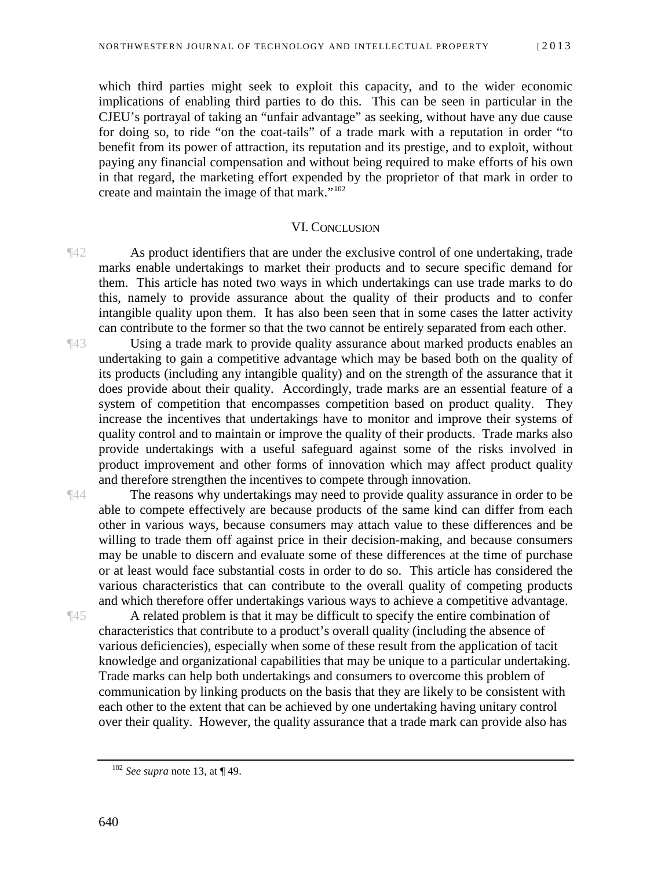which third parties might seek to exploit this capacity, and to the wider economic implications of enabling third parties to do this. This can be seen in particular in the CJEU's portrayal of taking an "unfair advantage" as seeking, without have any due cause for doing so, to ride "on the coat-tails" of a trade mark with a reputation in order "to benefit from its power of attraction, its reputation and its prestige, and to exploit, without paying any financial compensation and without being required to make efforts of his own in that regard, the marketing effort expended by the proprietor of that mark in order to create and maintain the image of that mark."[102](#page-21-1)

### VI. CONCLUSION

<span id="page-21-0"></span>¶42 As product identifiers that are under the exclusive control of one undertaking, trade marks enable undertakings to market their products and to secure specific demand for them. This article has noted two ways in which undertakings can use trade marks to do this, namely to provide assurance about the quality of their products and to confer intangible quality upon them. It has also been seen that in some cases the latter activity can contribute to the former so that the two cannot be entirely separated from each other.

¶43 Using a trade mark to provide quality assurance about marked products enables an undertaking to gain a competitive advantage which may be based both on the quality of its products (including any intangible quality) and on the strength of the assurance that it does provide about their quality. Accordingly, trade marks are an essential feature of a system of competition that encompasses competition based on product quality. They increase the incentives that undertakings have to monitor and improve their systems of quality control and to maintain or improve the quality of their products. Trade marks also provide undertakings with a useful safeguard against some of the risks involved in product improvement and other forms of innovation which may affect product quality and therefore strengthen the incentives to compete through innovation.

¶44 The reasons why undertakings may need to provide quality assurance in order to be able to compete effectively are because products of the same kind can differ from each other in various ways, because consumers may attach value to these differences and be willing to trade them off against price in their decision-making, and because consumers may be unable to discern and evaluate some of these differences at the time of purchase or at least would face substantial costs in order to do so. This article has considered the various characteristics that can contribute to the overall quality of competing products and which therefore offer undertakings various ways to achieve a competitive advantage.

¶45 A related problem is that it may be difficult to specify the entire combination of characteristics that contribute to a product's overall quality (including the absence of various deficiencies), especially when some of these result from the application of tacit knowledge and organizational capabilities that may be unique to a particular undertaking. Trade marks can help both undertakings and consumers to overcome this problem of communication by linking products on the basis that they are likely to be consistent with each other to the extent that can be achieved by one undertaking having unitary control over their quality. However, the quality assurance that a trade mark can provide also has

<span id="page-21-1"></span><sup>102</sup> *See supra* note 13, at ¶ 49.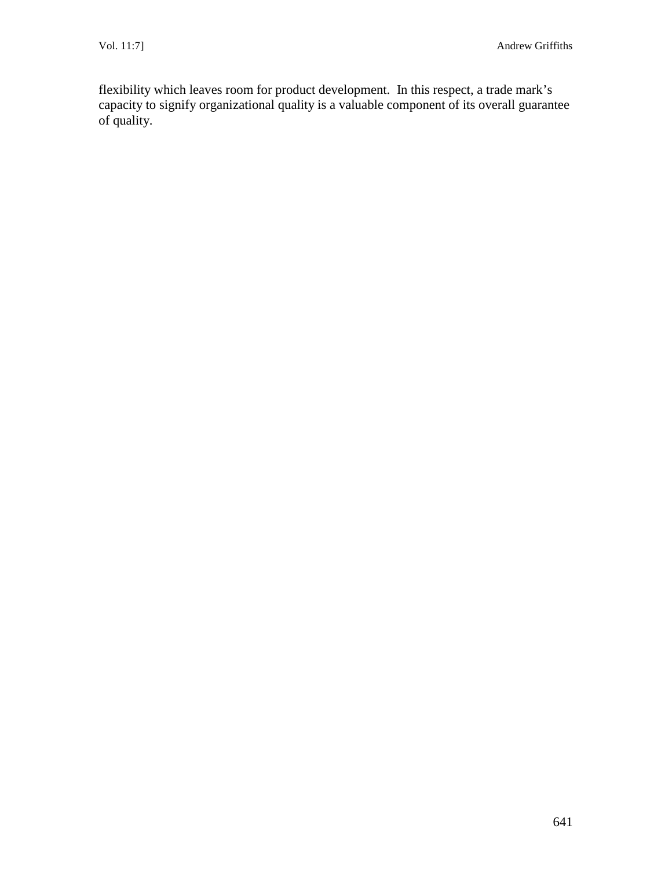flexibility which leaves room for product development. In this respect, a trade mark's capacity to signify organizational quality is a valuable component of its overall guarantee of quality.